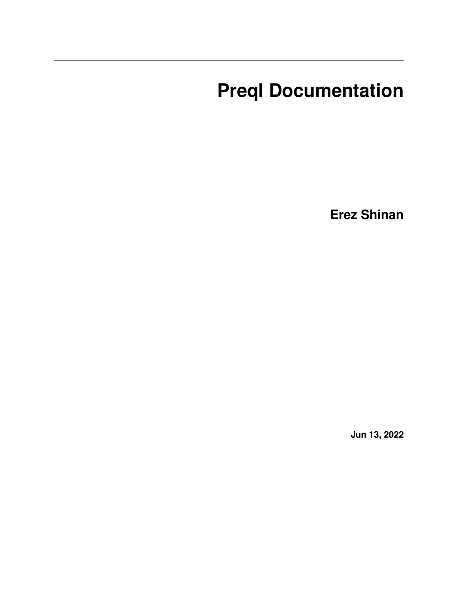# **Preql Documentation**

**Erez Shinan**

**Jun 13, 2022**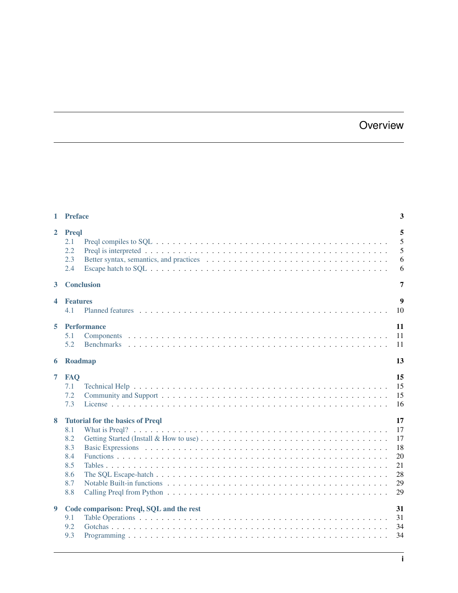# **Overview**

|                | 1 Preface                                                                                       | 3                                                  |
|----------------|-------------------------------------------------------------------------------------------------|----------------------------------------------------|
| $\overline{2}$ | Preql<br>2.1<br>2.2<br>2.3<br>2.4                                                               | 5<br>5<br>5<br>6<br>6                              |
| $\mathbf{3}$   | <b>Conclusion</b>                                                                               | 7                                                  |
| 4              | <b>Features</b><br>4.1                                                                          | 9<br>10                                            |
| 5              | <b>Performance</b><br>5.1<br>5.2                                                                | 11<br>11<br>11                                     |
| 6              | Roadmap                                                                                         | 13                                                 |
| $\overline{7}$ | <b>FAQ</b><br>7.1<br>7.2<br>7.3                                                                 | 15<br>15<br>15<br>16                               |
| 8              | <b>Tutorial for the basics of Preql</b><br>8.1<br>8.2<br>8.3<br>8.4<br>8.5<br>8.6<br>8.7<br>8.8 | 17<br>17<br>17<br>18<br>20<br>21<br>28<br>29<br>29 |
| 9              | Code comparison: Preql, SQL and the rest<br>9.1<br>9.2<br>9.3                                   | 31<br>31<br>34<br>34                               |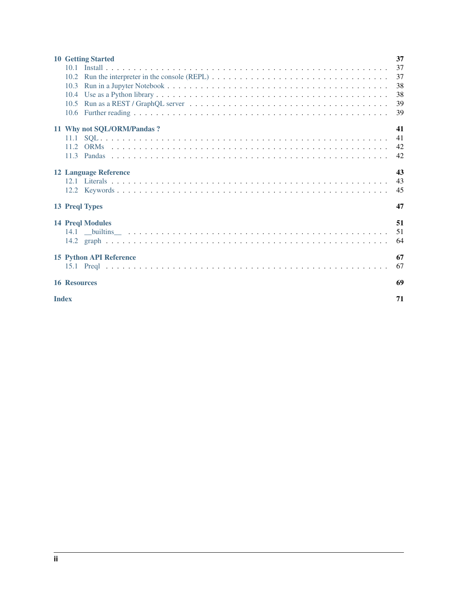| <b>10 Getting Started</b>      | 37 |
|--------------------------------|----|
|                                | 37 |
| 10.2 <sub>1</sub>              | 37 |
| 10.3                           | 38 |
| 10.4                           | 38 |
| 10.5                           | 39 |
| 10.6                           | 39 |
| 11 Why not SQL/ORM/Pandas?     | 41 |
|                                | 41 |
|                                | 42 |
|                                | 42 |
| <b>12 Language Reference</b>   | 43 |
|                                | 43 |
|                                | 45 |
| <b>13 Preql Types</b>          | 47 |
| <b>14 Preql Modules</b>        | 51 |
|                                | 51 |
|                                | 64 |
| <b>15 Python API Reference</b> | 67 |
|                                | 67 |
| <b>16 Resources</b>            | 69 |
| <b>Index</b>                   | 71 |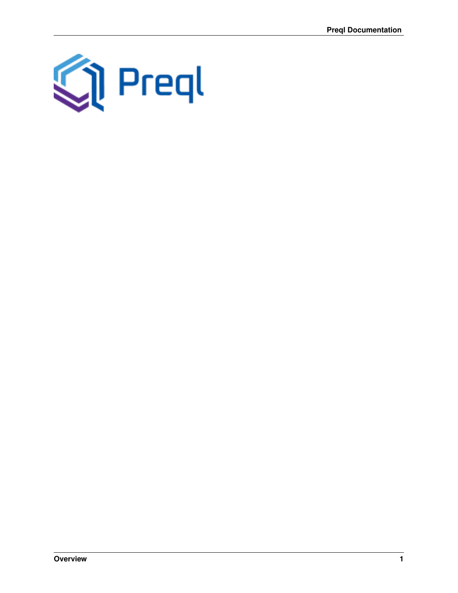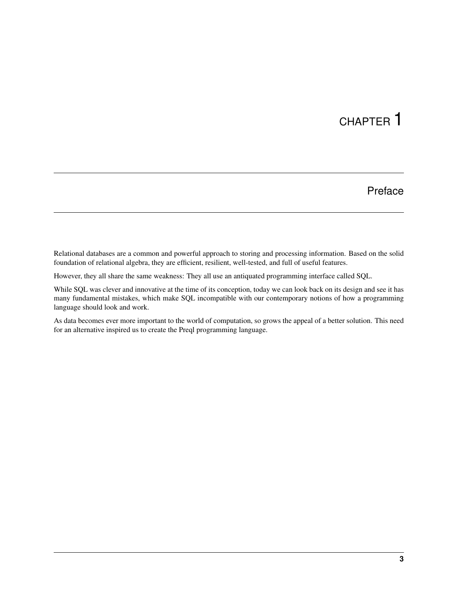## Preface

<span id="page-6-0"></span>Relational databases are a common and powerful approach to storing and processing information. Based on the solid foundation of relational algebra, they are efficient, resilient, well-tested, and full of useful features.

However, they all share the same weakness: They all use an antiquated programming interface called SQL.

While SQL was clever and innovative at the time of its conception, today we can look back on its design and see it has many fundamental mistakes, which make SQL incompatible with our contemporary notions of how a programming language should look and work.

As data becomes ever more important to the world of computation, so grows the appeal of a better solution. This need for an alternative inspired us to create the Preql programming language.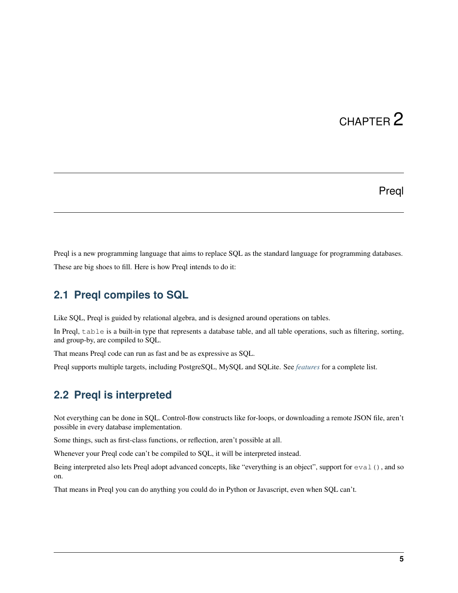## Preql

<span id="page-8-0"></span>Preql is a new programming language that aims to replace SQL as the standard language for programming databases. These are big shoes to fill. Here is how Preql intends to do it:

## <span id="page-8-1"></span>**2.1 Preql compiles to SQL**

Like SQL, Preql is guided by relational algebra, and is designed around operations on tables.

In Preql, table is a built-in type that represents a database table, and all table operations, such as filtering, sorting, and group-by, are compiled to SQL.

That means Preql code can run as fast and be as expressive as SQL.

Preql supports multiple targets, including PostgreSQL, MySQL and SQLite. See *[features](#page-12-0)* for a complete list.

## <span id="page-8-2"></span>**2.2 Preql is interpreted**

Not everything can be done in SQL. Control-flow constructs like for-loops, or downloading a remote JSON file, aren't possible in every database implementation.

Some things, such as first-class functions, or reflection, aren't possible at all.

Whenever your Preql code can't be compiled to SQL, it will be interpreted instead.

Being interpreted also lets Preql adopt advanced concepts, like "everything is an object", support for eval(), and so on.

That means in Preql you can do anything you could do in Python or Javascript, even when SQL can't.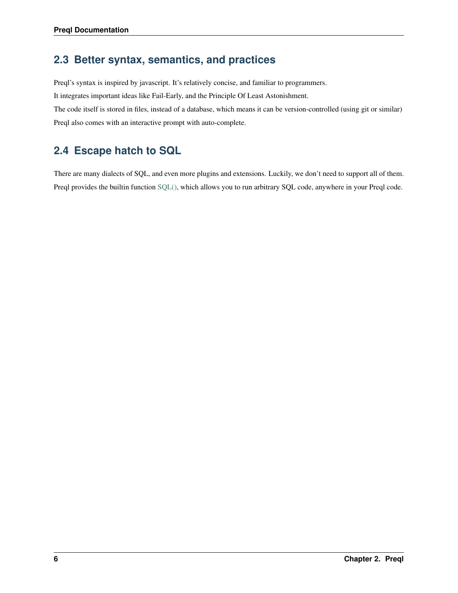## <span id="page-9-0"></span>**2.3 Better syntax, semantics, and practices**

Preql's syntax is inspired by javascript. It's relatively concise, and familiar to programmers.

It integrates important ideas like Fail-Early, and the Principle Of Least Astonishment.

The code itself is stored in files, instead of a database, which means it can be version-controlled (using git or similar) Preql also comes with an interactive prompt with auto-complete.

# <span id="page-9-1"></span>**2.4 Escape hatch to SQL**

There are many dialects of SQL, and even more plugins and extensions. Luckily, we don't need to support all of them. Preql provides the builtin function [SQL\(\),](preql-modules.html#SQL) which allows you to run arbitrary SQL code, anywhere in your Preql code.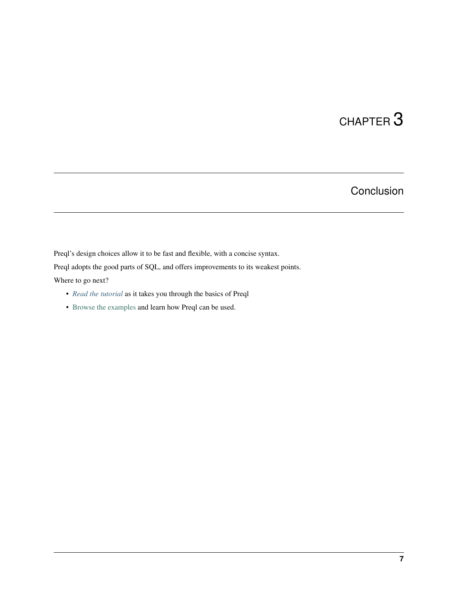Conclusion

<span id="page-10-0"></span>Preql's design choices allow it to be fast and flexible, with a concise syntax.

Preql adopts the good parts of SQL, and offers improvements to its weakest points.

Where to go next?

- *[Read the tutorial](#page-20-0)* as it takes you through the basics of Preql
- [Browse the examples](https://github.com/erezsh/Preql/tree/master/examples) and learn how Preql can be used.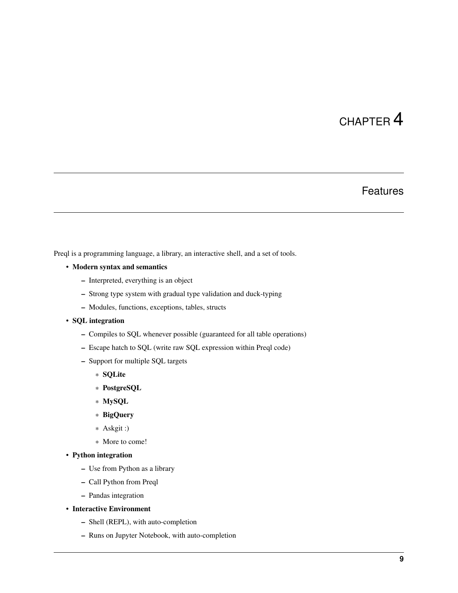### Features

<span id="page-12-0"></span>Preql is a programming language, a library, an interactive shell, and a set of tools.

- Modern syntax and semantics
	- Interpreted, everything is an object
	- Strong type system with gradual type validation and duck-typing
	- Modules, functions, exceptions, tables, structs

#### • SQL integration

- Compiles to SQL whenever possible (guaranteed for all table operations)
- Escape hatch to SQL (write raw SQL expression within Preql code)
- Support for multiple SQL targets
	- \* SQLite
	- \* PostgreSQL
	- \* MySQL
	- \* BigQuery
	- \* Askgit :)
	- \* More to come!
- Python integration
	- Use from Python as a library
	- Call Python from Preql
	- Pandas integration
- Interactive Environment
	- Shell (REPL), with auto-completion
	- Runs on Jupyter Notebook, with auto-completion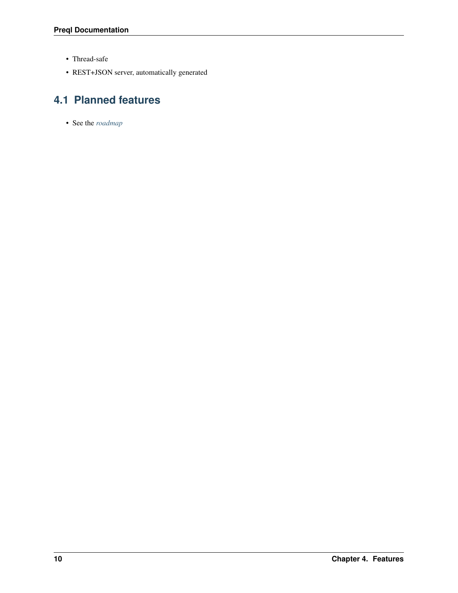- Thread-safe
- REST+JSON server, automatically generated

# <span id="page-13-0"></span>**4.1 Planned features**

• See the *[roadmap](#page-16-0)*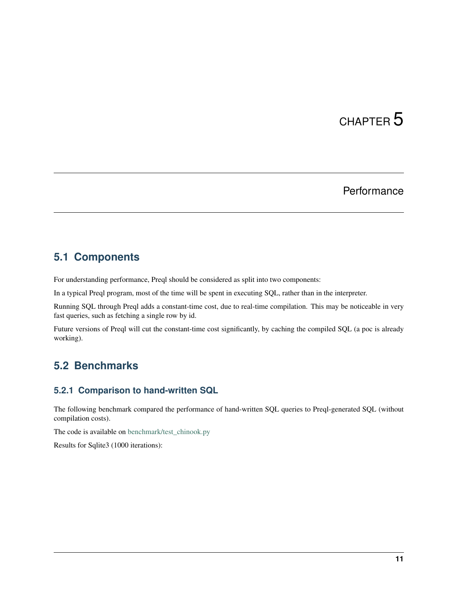## **Performance**

## <span id="page-14-1"></span><span id="page-14-0"></span>**5.1 Components**

For understanding performance, Preql should be considered as split into two components:

In a typical Preql program, most of the time will be spent in executing SQL, rather than in the interpreter.

Running SQL through Preql adds a constant-time cost, due to real-time compilation. This may be noticeable in very fast queries, such as fetching a single row by id.

Future versions of Preql will cut the constant-time cost significantly, by caching the compiled SQL (a poc is already working).

## <span id="page-14-2"></span>**5.2 Benchmarks**

#### **5.2.1 Comparison to hand-written SQL**

The following benchmark compared the performance of hand-written SQL queries to Preql-generated SQL (without compilation costs).

The code is available on [benchmark/test\\_chinook.py](https://github.com/erezsh/Preql/blob/master/benchmark/test_chinook.py)

Results for Sqlite3 (1000 iterations):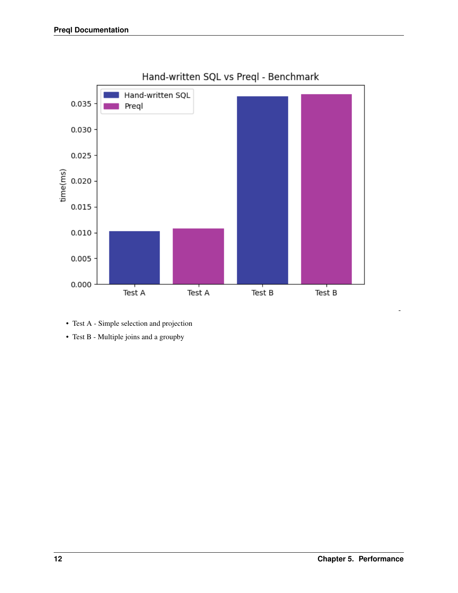

• Test A - Simple selection and projection

• Test B - Multiple joins and a groupby

-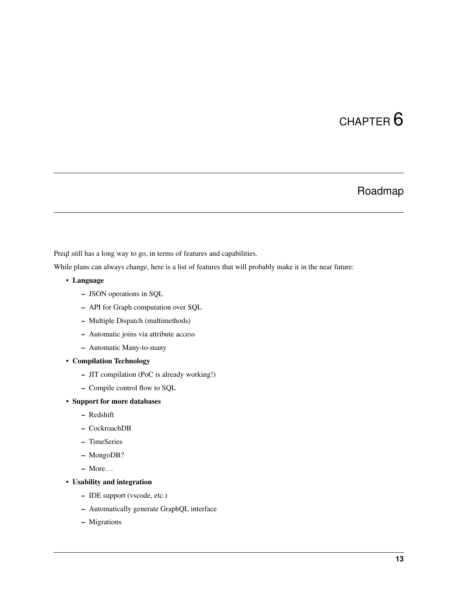# Roadmap

<span id="page-16-0"></span>Preql still has a long way to go, in terms of features and capabilities.

While plans can always change, here is a list of features that will probably make it in the near future:

- Language
	- JSON operations in SQL
	- API for Graph computation over SQL
	- Multiple Dispatch (multimethods)
	- Automatic joins via attribute access
	- Automatic Many-to-many
- Compilation Technology
	- JIT compilation (PoC is already working!)
	- Compile control flow to SQL
- Support for more databases
	- Redshift
	- CockroachDB
	- TimeSeries
	- MongoDB?
	- More. . .
- Usability and integration
	- IDE support (vscode, etc.)
	- Automatically generate GraphQL interface
	- Migrations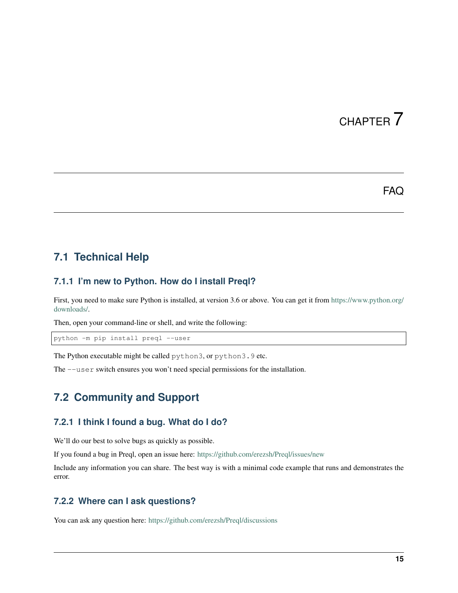## FAQ

## <span id="page-18-1"></span><span id="page-18-0"></span>**7.1 Technical Help**

#### **7.1.1 I'm new to Python. How do I install Preql?**

First, you need to make sure Python is installed, at version 3.6 or above. You can get it from [https://www.python.org/](https://www.python.org/downloads/) [downloads/.](https://www.python.org/downloads/)

Then, open your command-line or shell, and write the following:

python -m pip install preql --user

The Python executable might be called python3, or python3.9 etc.

The --user switch ensures you won't need special permissions for the installation.

## <span id="page-18-2"></span>**7.2 Community and Support**

#### **7.2.1 I think I found a bug. What do I do?**

We'll do our best to solve bugs as quickly as possible.

If you found a bug in Preql, open an issue here: <https://github.com/erezsh/Preql/issues/new>

Include any information you can share. The best way is with a minimal code example that runs and demonstrates the error.

#### **7.2.2 Where can I ask questions?**

You can ask any question here: <https://github.com/erezsh/Preql/discussions>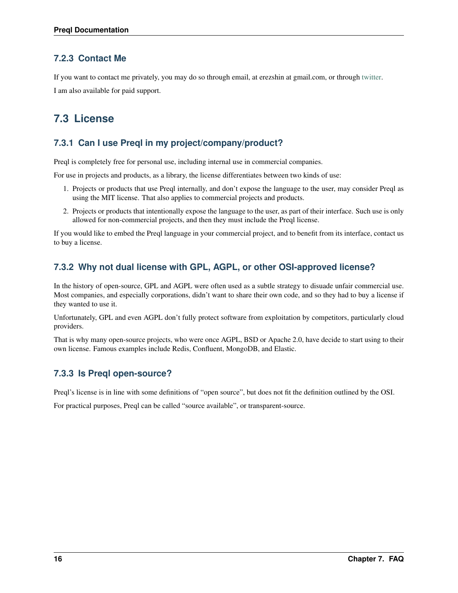### **7.2.3 Contact Me**

If you want to contact me privately, you may do so through email, at erezshin at gmail.com, or through [twitter.](https://twitter.com/erezsh) I am also available for paid support.

## <span id="page-19-0"></span>**7.3 License**

### **7.3.1 Can I use Preql in my project/company/product?**

Preql is completely free for personal use, including internal use in commercial companies.

For use in projects and products, as a library, the license differentiates between two kinds of use:

- 1. Projects or products that use Preql internally, and don't expose the language to the user, may consider Preql as using the MIT license. That also applies to commercial projects and products.
- 2. Projects or products that intentionally expose the language to the user, as part of their interface. Such use is only allowed for non-commercial projects, and then they must include the Preql license.

If you would like to embed the Preql language in your commercial project, and to benefit from its interface, contact us to buy a license.

### **7.3.2 Why not dual license with GPL, AGPL, or other OSI-approved license?**

In the history of open-source, GPL and AGPL were often used as a subtle strategy to disuade unfair commercial use. Most companies, and especially corporations, didn't want to share their own code, and so they had to buy a license if they wanted to use it.

Unfortunately, GPL and even AGPL don't fully protect software from exploitation by competitors, particularly cloud providers.

That is why many open-source projects, who were once AGPL, BSD or Apache 2.0, have decide to start using to their own license. Famous examples include Redis, Confluent, MongoDB, and Elastic.

### **7.3.3 Is Preql open-source?**

Preql's license is in line with some definitions of "open source", but does not fit the definition outlined by the OSI.

For practical purposes, Preql can be called "source available", or transparent-source.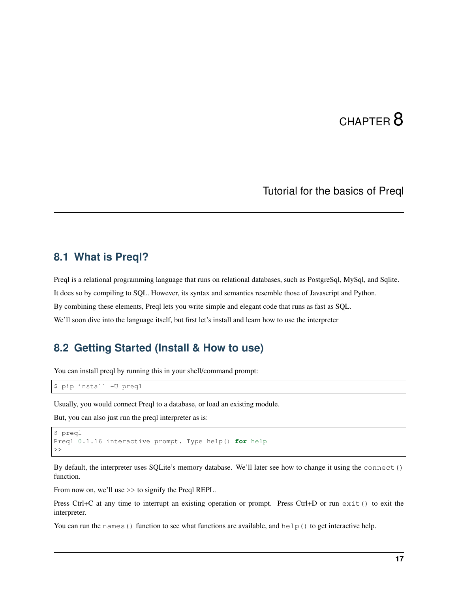## Tutorial for the basics of Preql

### <span id="page-20-1"></span><span id="page-20-0"></span>**8.1 What is Preql?**

Preql is a relational programming language that runs on relational databases, such as PostgreSql, MySql, and Sqlite. It does so by compiling to SQL. However, its syntax and semantics resemble those of Javascript and Python. By combining these elements, Preql lets you write simple and elegant code that runs as fast as SQL. We'll soon dive into the language itself, but first let's install and learn how to use the interpreter

## <span id="page-20-2"></span>**8.2 Getting Started (Install & How to use)**

You can install preql by running this in your shell/command prompt:

```
$ pip install -U preql
```
Usually, you would connect Preql to a database, or load an existing module.

But, you can also just run the preql interpreter as is:

```
$ preql
Preql 0.1.16 interactive prompt. Type help() for help
\rightarrow
```
By default, the interpreter uses SQLite's memory database. We'll later see how to change it using the connect() function.

From now on, we'll use >> to signify the Preql REPL.

Press Ctrl+C at any time to interrupt an existing operation or prompt. Press Ctrl+D or run exit() to exit the interpreter.

You can run the names () function to see what functions are available, and  $\text{help}$  () to get interactive help.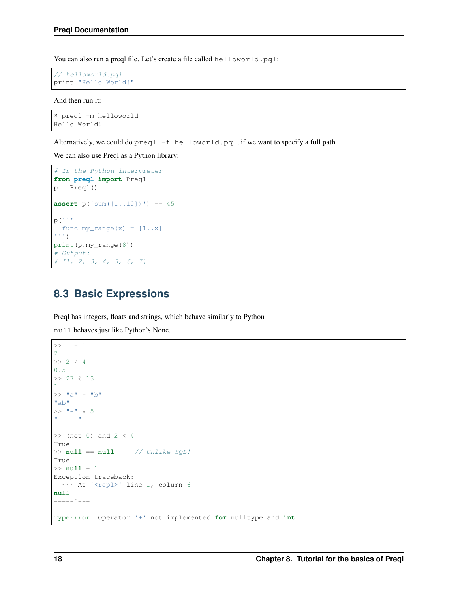You can also run a preql file. Let's create a file called helloworld.pql:

// helloworld.pql print "Hello World!"

#### And then run it:

```
$ preql -m helloworld
Hello World!
```
Alternatively, we could do  $\text{preql}$  -f helloworld.pql, if we want to specify a full path.

We can also use Preql as a Python library:

```
# In the Python interpreter
from preql import Preql
p = Preql()assert p('sum([1..10])') == 45
p(''''
 func my\_range(x) = [1..x]''')
print(p.my_range(8))
# Output:
# [1, 2, 3, 4, 5, 6, 7]
```
## <span id="page-21-0"></span>**8.3 Basic Expressions**

Preql has integers, floats and strings, which behave similarly to Python

null behaves just like Python's None.

```
>> 1 + 12
>> 2 / 4
0.5
>> 27 % 13
1
>> "a" + "b"
"ab"
>> "-" * 5
\overline{u}----"
>> (not 0) and 2 < 4
True
>> null == null // Unlike SQL!
True
>> null + 1
Exception traceback:
 ~~~ At '<repl>' line 1, column 6
null + 1
-----^---
TypeError: Operator '+' not implemented for nulltype and int
```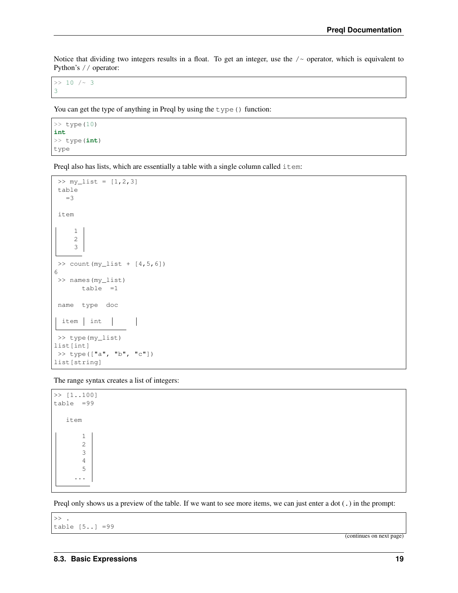Notice that dividing two integers results in a float. To get an integer, use the  $\prime \sim$  operator, which is equivalent to Python's // operator:

 $>> 10$  /~ 3 3

You can get the type of anything in Preql by using the  $type($ ) function:

```
>> type(10)
int
>> type(int)
type
```
Preql also has lists, which are essentially a table with a single column called item:

```
>> my_list = [1,2,3]
table
   =3item
      1
      2
      3
>> count (my_{{\text{max}}} + [4, 5, 6])6
>> names(my_list)
        table =1
name type doc
                        \overline{\phantom{a}}item int
                 \mathbf{I}>> type(my_list)
list[int]
>> type(["a", "b", "c"])
list[string]
```
The range syntax creates a list of integers:

 $>> [1..100]$ table =99 item 1 2 3 4 5 ...

Preql only shows us a preview of the table. If we want to see more items, we can just enter a dot (.) in the prompt:

 $\Rightarrow$  . table [5..] =99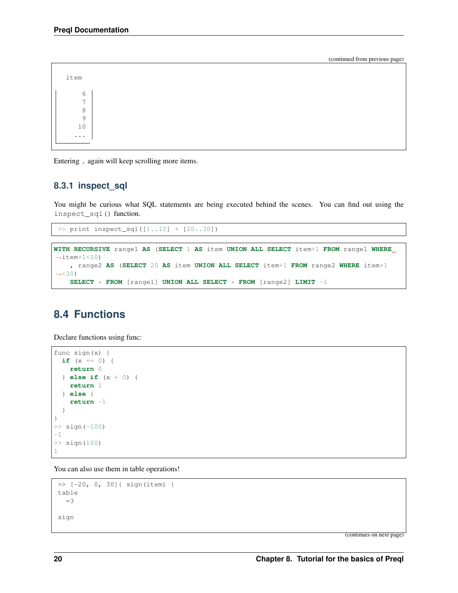item 6 7 8 9 10 ...

Entering . again will keep scrolling more items.

#### **8.3.1 inspect\_sql**

You might be curious what SQL statements are being executed behind the scenes. You can find out using the inspect\_sql() function.

```
\gg print inspect_sql([1..10] + [20..30])
```

```
WITH RECURSIVE range1 AS (SELECT 1 AS item UNION ALL SELECT item+1 FROM range1 WHERE
\rightarrowitem+1<10)
    , range2 AS (SELECT 20 AS item UNION ALL SELECT item+1 FROM range2 WHERE item+1
\leftrightarrow <30)
    SELECT * FROM [range1] UNION ALL SELECT * FROM [range2] LIMIT -1
```
## <span id="page-23-0"></span>**8.4 Functions**

Declare functions using func:

```
func sign(x) {
 if (x == 0) {
   return 0
  } else if (x > 0) {
    return 1
  } else {
    return -1
  }
}
>> sign(-100)
-1
\gg sign(100)
1
```
You can also use them in table operations!

```
>> [-20, 0, 30]{ sign(item) }
table
  =3
sign
```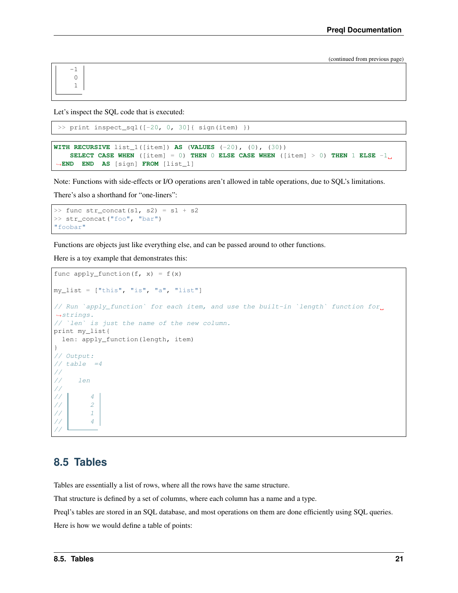-1 0 1

Let's inspect the SQL code that is executed:

```
>> print inspect_sql([-20, 0, 30]{ sign(item) })
```

```
WITH RECURSIVE list_1([item]) AS (VALUES (-20), (0), (30))
   SELECT CASE WHEN ([item] = 0) THEN 0 ELSE CASE WHEN ([item] > 0) THEN 1 ELSE -1
˓→END END AS [sign] FROM [list_1]
```
Note: Functions with side-effects or I/O operations aren't allowed in table operations, due to SQL's limitations.

There's also a shorthand for "one-liners":

```
\gg func str_concat(s1, s2) = s1 + s2
>> str_concat("foo", "bar")
"foobar"
```
Functions are objects just like everything else, and can be passed around to other functions.

Here is a toy example that demonstrates this:

```
func apply_function(f, x) = f(x)my list = ["this", "is", "a", "list"]// Run `apply_function` for each item, and use the built-in `length` function for_
ightharpoonupstrings.
// `len` is just the name of the new column.
print my_list{
 len: apply_function(length, item)
}
// Output:
// table =4//
// len
//
// 4
/ 2
// 1
\frac{1}{4} 4
//
```
## <span id="page-24-0"></span>**8.5 Tables**

Tables are essentially a list of rows, where all the rows have the same structure.

That structure is defined by a set of columns, where each column has a name and a type.

Preql's tables are stored in an SQL database, and most operations on them are done efficiently using SQL queries.

Here is how we would define a table of points: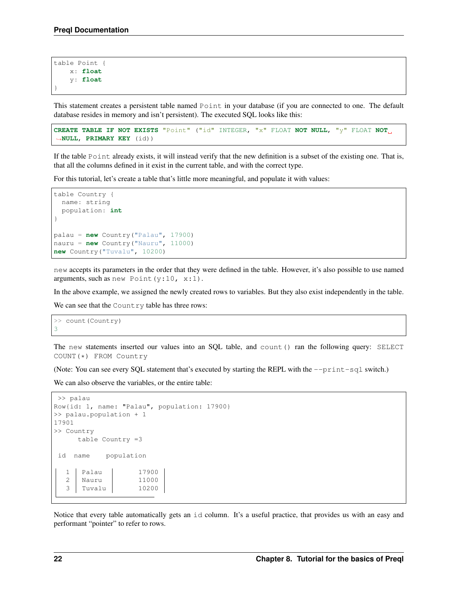```
table Point {
   x: float
    y: float
}
```
This statement creates a persistent table named Point in your database (if you are connected to one. The default database resides in memory and isn't persistent). The executed SQL looks like this:

```
CREATE TABLE IF NOT EXISTS "Point" ("id" INTEGER, "x" FLOAT NOT NULL, "y" FLOAT NOT
˓→NULL, PRIMARY KEY (id))
```
If the table Point already exists, it will instead verify that the new definition is a subset of the existing one. That is, that all the columns defined in it exist in the current table, and with the correct type.

For this tutorial, let's create a table that's little more meaningful, and populate it with values:

```
table Country {
  name: string
  population: int
}
palau = new Country("Palau", 17900)
nauru = new Country("Nauru", 11000)
new Country("Tuvalu", 10200)
```
new accepts its parameters in the order that they were defined in the table. However, it's also possible to use named arguments, such as new Point(y:10,  $x:1$ ).

In the above example, we assigned the newly created rows to variables. But they also exist independently in the table.

We can see that the Country table has three rows:

```
>> count(Country)
3
```
The new statements inserted our values into an SQL table, and count() ran the following query: SELECT COUNT(\*) FROM Country

(Note: You can see every SQL statement that's executed by starting the REPL with the --print-sql switch.)

We can also observe the variables, or the entire table:

```
>> palau
Row{id: 1, name: "Palau", population: 17900}
>> palau.population + 1
17901
>> Country
     table Country =3
id name population
  1 Palau 17900
  2 Nauru 11000
  3 Tuvalu 10200
```
Notice that every table automatically gets an id column. It's a useful practice, that provides us with an easy and performant "pointer" to refer to rows.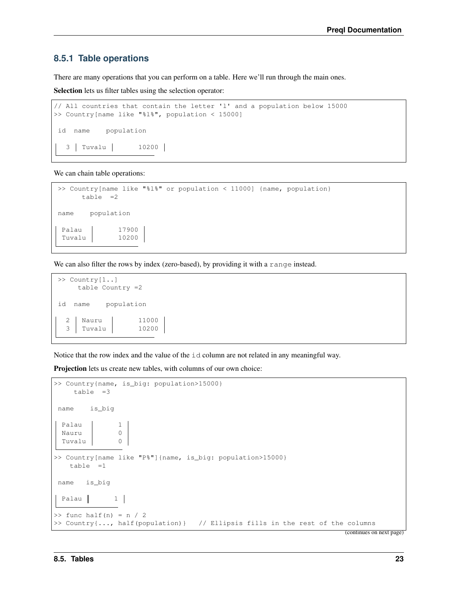#### **8.5.1 Table operations**

There are many operations that you can perform on a table. Here we'll run through the main ones.

Selection lets us filter tables using the selection operator:

```
// All countries that contain the letter 'l' and a population below 15000
>> Country[name like "%l%", population < 15000]
id name population
  3 Tuvalu 10200
```
We can chain table operations:

```
>> Country[name like "%l%" or population < 11000] {name, population}
     table = 2name population
Palau | 17900
Tuvalu 10200
```
We can also filter the rows by index (zero-based), by providing it with a range instead.

```
>> Country[1..]
    table Country =2
id name population
 2 Nauru 11000
 3 Tuvalu 10200
```
Notice that the row index and the value of the id column are not related in any meaningful way.

Projection lets us create new tables, with columns of our own choice:

```
>> Country{name, is_big: population>15000}
    table =3
name is_big
 Palau | 1
 Nauru | 0
 Tuvalu 0
>> Country[name like "P%"]{name, is_big: population>15000}
   table =1
name is_big
 Palau | 1
\gg func half(n) = n / 2
>> Country{..., half(population)} // Ellipsis fills in the rest of the columns
```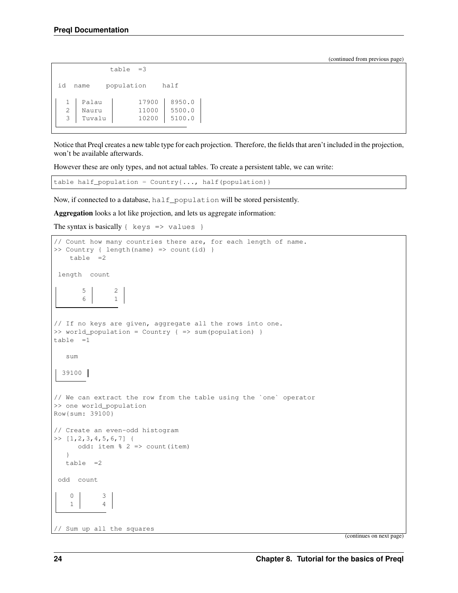|                                                 | table<br>$=$ 3                                        |
|-------------------------------------------------|-------------------------------------------------------|
| id<br>name                                      | half<br>population                                    |
| Palau<br>$\overline{2}$<br>Nauru<br>3<br>Tuvalu | 8950.0<br>17900<br>5500.0<br>11000<br>5100.0<br>10200 |

Notice that Preql creates a new table type for each projection. Therefore, the fields that aren't included in the projection, won't be available afterwards.

However these are only types, and not actual tables. To create a persistent table, we can write:

table half\_population =  $Country{...}$ , half(population)}

Now, if connected to a database, half\_population will be stored persistently.

Aggregation looks a lot like projection, and lets us aggregate information:

The syntax is basically  $\{ \text{keys} =\text{values} \}$ 

```
// Count how many countries there are, for each length of name.
>> Country { length(name) => count(id) }
   table =2
length count
       5 2
       6 1
// If no keys are given, aggregate all the rows into one.
>> world_population = Country { => sum(population) }
table =1
   sum
  39100
// We can extract the row from the table using the `one` operator
>> one world_population
Row{sum: 39100}
// Create an even-odd histogram
\gg [1, 2, 3, 4, 5, 6, 7] {
      odd: item % 2 => count(item)
   }
  table =2odd count
    0 \mid 31 4
// Sum up all the squares
```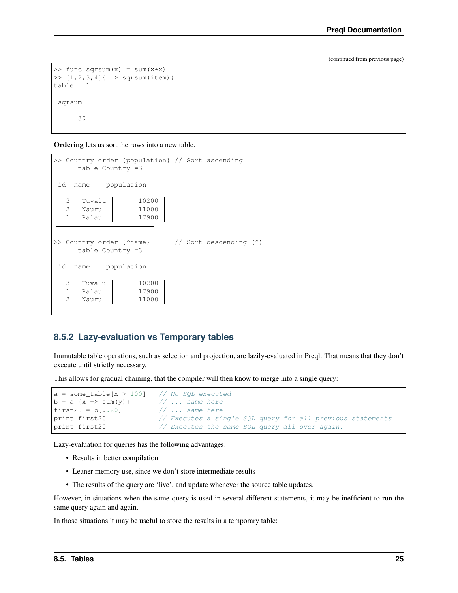```
>> func sqrsum(x) = sum(x*x)
>> [1,2,3,4]{ => sqrsum(item)}
table =1
 sqrsum
      30
```
Ordering lets us sort the rows into a new table.

```
>> Country order {population} // Sort ascending
    table Country =3
id name population
  3 Tuvalu 10200
  2 Nauru 11000
  1 Palau 17900
>> Country order {^name} // Sort descending (^)
    table Country =3
id name population
  3 Tuvalu 10200
  1 Palau 17900
  2 Nauru 11000
```
#### **8.5.2 Lazy-evaluation vs Temporary tables**

Immutable table operations, such as selection and projection, are lazily-evaluated in Preql. That means that they don't execute until strictly necessary.

This allows for gradual chaining, that the compiler will then know to merge into a single query:

```
a = some_table[x > 100] // No SQL executed
b = a \{x \Rightarrow sum(y)\}\ // ... same here
first20 = b[..20] // ... same here
print first20 // Executes a single SQL query for all previous statements
print first20 // Executes the same SQL query all over again.
```
Lazy-evaluation for queries has the following advantages:

- Results in better compilation
- Leaner memory use, since we don't store intermediate results
- The results of the query are 'live', and update whenever the source table updates.

However, in situations when the same query is used in several different statements, it may be inefficient to run the same query again and again.

In those situations it may be useful to store the results in a temporary table: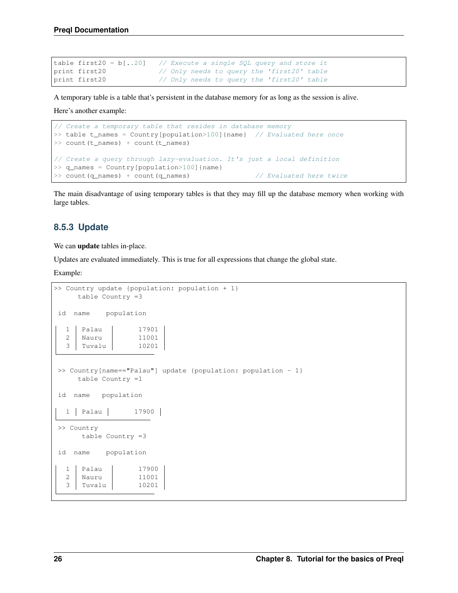| table first20 = $b$ [20] |  |  |  | // Execute a single SQL query and store it |  |
|--------------------------|--|--|--|--------------------------------------------|--|
| print first20            |  |  |  | // Only needs to query the 'first20' table |  |
| print first20            |  |  |  | // Only needs to query the 'first20' table |  |

A temporary table is a table that's persistent in the database memory for as long as the session is alive.

Here's another example:

```
// Create a temporary table that resides in database memory
>> table t_names = Country [population>100] {name} // Evaluated here once
>> count(t_names) + count(t_names)
// Create a query through lazy-evaluation. It's just a local definition
>> q_names = Country[population>100]{name}
>> count(q_names) + count(q_names) // Evaluated here twice
```
The main disadvantage of using temporary tables is that they may fill up the database memory when working with large tables.

### **8.5.3 Update**

We can update tables in-place.

Updates are evaluated immediately. This is true for all expressions that change the global state.

Example:

```
>> Country update {population: population + 1}
    table Country =3
id name population
  1 Palau 17901
  2 Nauru 11001
  3 Tuvalu 10201
>> Country[name=="Palau"] update {population: population - 1}
    table Country =1
id name population
  1 | Palau | 17900 |
>> Country
    table Country =3
id name population
  1 Palau 17900
  2 Nauru 11001
  3 Tuvalu 10201
```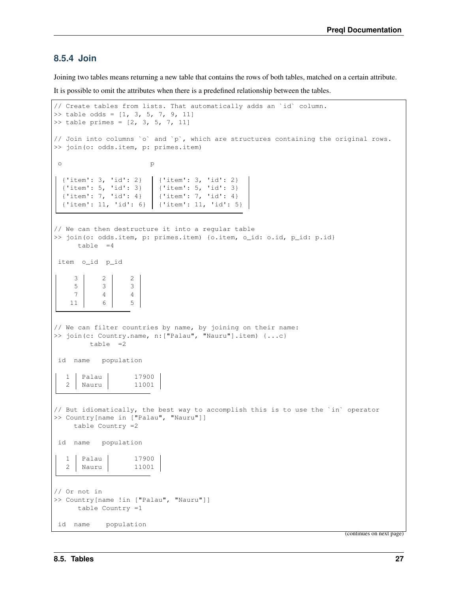#### **8.5.4 Join**

Joining two tables means returning a new table that contains the rows of both tables, matched on a certain attribute.

It is possible to omit the attributes when there is a predefined relationship between the tables.

```
// Create tables from lists. That automatically adds an `id` column.
\gg table odds = [1, 3, 5, 7, 9, 11]\gg table primes = [2, 3, 5, 7, 11]// Join into columns `o` and `p`, which are structures containing the original rows.
>> join(o: odds.item, p: primes.item)
 o p
 {'item': 3, 'id': 2} {'item': 3, 'id': 2}
 {'item': 5, 'id': 3} {'item': 5, 'id': 3}
 {'item': 7, 'id': 4} {'item': 7, 'id': 4}
 {'item': 11, 'id': 6} {'item': 11, 'id': 5}
// We can then destructure it into a regular table
>> join(o: odds.item, p: primes.item) {o.item, o_id: o.id, p_id: p.id}
     table =4
item o_id p_id
    3 2 2
    5 \mid 3 \mid 37 4 4
   11 6 5
// We can filter countries by name, by joining on their name:
>> join(c: Country.name, n:["Palau", "Nauru"].item) {...c}
        table = 2id name population
  1 Palau 17900
  2 Nauru 11001
// But idiomatically, the best way to accomplish this is to use the `in` operator
>> Country[name in ["Palau", "Nauru"]]
    table Country =2
id name population
  1 Palau 17900
  2 Nauru 11001
// Or not in
>> Country[name !in ["Palau", "Nauru"]]
     table Country =1
id name population
```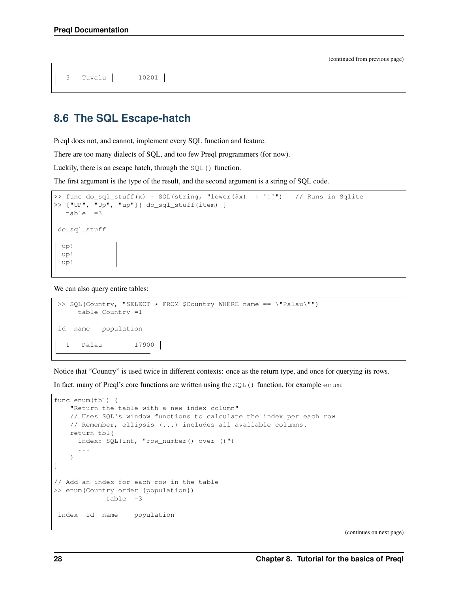```
3 Tuvalu 10201
```
## <span id="page-31-0"></span>**8.6 The SQL Escape-hatch**

Preql does not, and cannot, implement every SQL function and feature.

There are too many dialects of SQL, and too few Preql programmers (for now).

Luckily, there is an escape hatch, through the SQL() function.

The first argument is the type of the result, and the second argument is a string of SQL code.

```
>> func do_sql_stuff(x) = SQL(string, "lower($x) || '!'") // Runs in Sqlite
>> ["UP", "Up", "up"]{ do_sql_stuff(item) }
  table =3
do_sql_stuff
 up!
 up!
 up!
```
We can also query entire tables:

```
>> SQL(Country, "SELECT * FROM $Country WHERE name == \"Palau\"")
    table Country =1
id name population
  1 | Palau | 17900 |
```
Notice that "Country" is used twice in different contexts: once as the return type, and once for querying its rows.

In fact, many of Preql's core functions are written using the  $SQL()$  function, for example enum:

```
func enum(tbl) {
    "Return the table with a new index column"
   // Uses SQL's window functions to calculate the index per each row
   // Remember, ellipsis (...) includes all available columns.
   return tbl{
      index: SQL(int, "row_number() over ()")
      ...
    }
}
// Add an index for each row in the table
>> enum(Country order {population})
            table =3
index id name population
```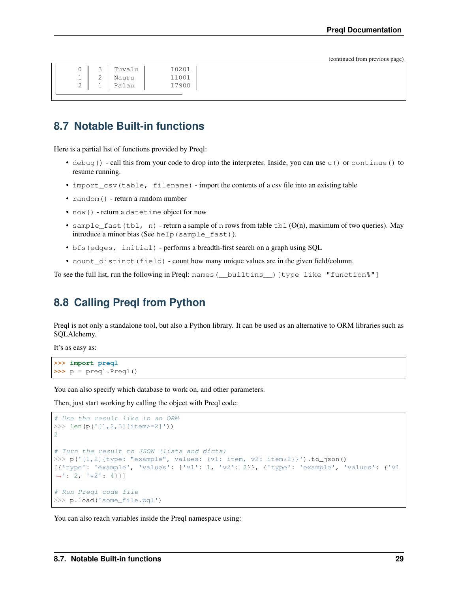| $\circ$  |                    | $3$   Tuvalu          | 10201 |
|----------|--------------------|-----------------------|-------|
| $1 \mid$ | $\sim$<br>$\angle$ | Nauru                 | 11001 |
|          |                    | $2 \mid 1 \mid$ Palau | 17900 |
|          |                    |                       |       |

# <span id="page-32-0"></span>**8.7 Notable Built-in functions**

Here is a partial list of functions provided by Preql:

- debug() call this from your code to drop into the interpreter. Inside, you can use c() or continue() to resume running.
- import\_csv(table, filename) import the contents of a csv file into an existing table
- random() return a random number
- now () return a datetime object for now
- sample\_fast(tbl, n) return a sample of n rows from table tbl  $(O(n))$ , maximum of two queries). May introduce a minor bias (See help(sample\_fast)).
- bfs(edges, initial) performs a breadth-first search on a graph using SQL
- count distinct (field) count how many unique values are in the given field/column.

To see the full list, run the following in Preql: names(\_\_builtins\_\_)[type like "function%"]

## <span id="page-32-1"></span>**8.8 Calling Preql from Python**

Preql is not only a standalone tool, but also a Python library. It can be used as an alternative to ORM libraries such as SQLAlchemy.

It's as easy as:

```
>>> import preql
>>> p = preql.Preql()
```
You can also specify which database to work on, and other parameters.

Then, just start working by calling the object with Preql code:

```
# Use the result like in an ORM
>>> len(p('[1,2,3][item>=2]'))
2
# Turn the result to JSON (lists and dicts)
>>> p('[1,2]{type: "example", values: {v1: item, v2: item*2}}').to_json()
[{'type': 'example', 'values': {'v1': 1, 'v2': 2}}, {'type': 'example', 'values': {'v1
\rightarrow': 2, 'v2': 4}}]
# Run Preql code file
>>> p.load('some_file.pql')
```
You can also reach variables inside the Preql namespace using: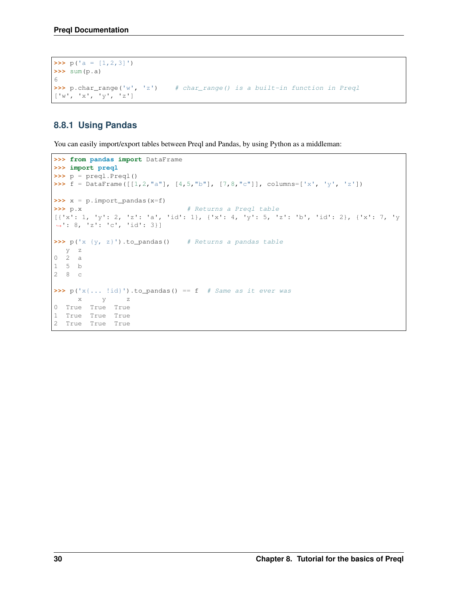```
\Rightarrow \Rightarrow p('a = [1, 2, 3]')>>> sum(p.a)
6
>>> p.char_range('w', 'z') # char_range() is a built-in function in Preql
['w', 'x', 'y', 'z']
```
### **8.8.1 Using Pandas**

You can easily import/export tables between Preql and Pandas, by using Python as a middleman:

```
>>> from pandas import DataFrame
>>> import preql
>>> p = preql.Preql()
>>> f = DataFrame([[1,2,"a"], [4,5,"b"], [7,8,"c"]], columns=['x', 'y', 'z'])
>>> x = p.import_pandas(x=f)
>>> p.x <br> # Returns a Preql table
[{'x': 1, 'y': 2, 'z': 'a', 'id': 1}, {'x': 4, 'y': 5, 'z': 'b', 'id': 2}, {'x': 7, 'y
˓→': 8, 'z': 'c', 'id': 3}]
>>> p('x {y, z}').to_pandas() # Returns a pandas table
  y z
0 2 a
1 5 b
2 8 c
>>> p('x{... !id}').to_pandas() == f # Same as it ever was
     x \t y \t z0 True True True
1 True True True
2 True True True
```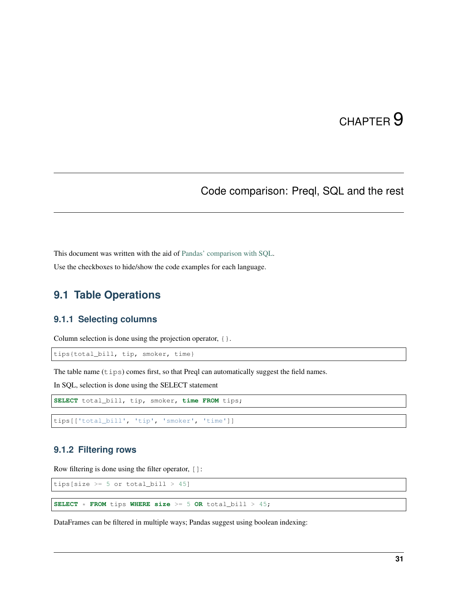## Code comparison: Preql, SQL and the rest

<span id="page-34-0"></span>This document was written with the aid of [Pandas' comparison with SQL.](https://pandas.pydata.org/docs/getting_started/comparison/comparison_with_sql.html)

Use the checkboxes to hide/show the code examples for each language.

## <span id="page-34-1"></span>**9.1 Table Operations**

#### **9.1.1 Selecting columns**

Column selection is done using the projection operator, {}.

tips{total\_bill, tip, smoker, time}

The table name (tips) comes first, so that Preql can automatically suggest the field names.

In SQL, selection is done using the SELECT statement

**SELECT** total\_bill, tip, smoker, **time FROM** tips;

```
tips[['total_bill', 'tip', 'smoker', 'time']]
```
#### **9.1.2 Filtering rows**

Row filtering is done using the filter operator, []:

```
tips[size >= 5 or total_bill > 45]
SELECT * FROM tips WHERE size >= 5 OR total_bill > 45;
```
DataFrames can be filtered in multiple ways; Pandas suggest using boolean indexing: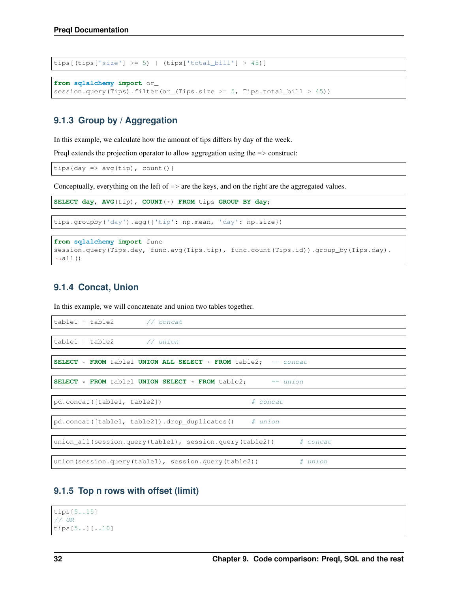tips[(tips['size'] >= 5) | (tips['total\_bill'] > 45)]

```
from sqlalchemy import or_
session.query(Tips).filter(or_(Tips.size >= 5, Tips.total_bill > 45))
```
### **9.1.3 Group by / Aggregation**

In this example, we calculate how the amount of tips differs by day of the week.

Preql extends the projection operator to allow aggregation using the  $\Rightarrow$  construct:

tips{day =>  $avg(tip)$ , count()}

Conceptually, everything on the left of  $\Rightarrow$  are the keys, and on the right are the aggregated values.

```
SELECT day, AVG(tip), COUNT(*) FROM tips GROUP BY day;
```
tips.groupby('day').agg({'tip': np.mean, 'day': np.size})

```
from sqlalchemy import func
session.query(Tips.day, func.avg(Tips.tip), func.count(Tips.id)).group_by(Tips.day).
\leftrightarrowall()
```
#### **9.1.4 Concat, Union**

In this example, we will concatenate and union two tables together.

```
table1 + table2 // concat
table1 | table2 // union
SELECT * FROM table1 UNION ALL SELECT * FROM table2; -- concat
SELECT * FROM table1 UNION SELECT * FROM table2; -- union
pd.concat([table1, table2]) # concat
pd.concat([table1, table2]).drop_duplicates() # union
union_all(session.query(table1), session.query(table2)) # concat
union(session.query(table1), session.query(table2)) # union
```
#### **9.1.5 Top n rows with offset (limit)**

```
tips[5..15]
// OR
tips[5..][..10]
```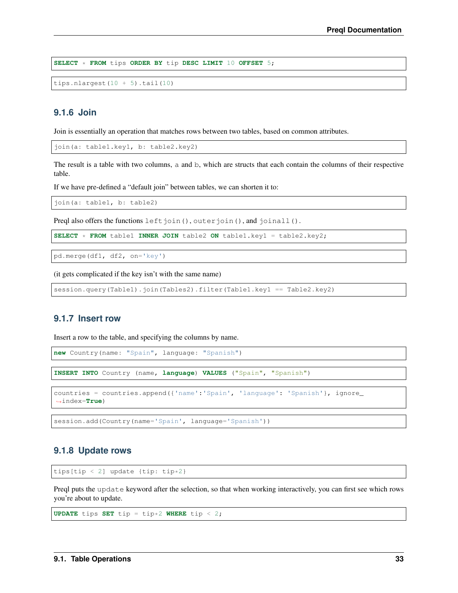**SELECT** \* **FROM** tips **ORDER BY** tip **DESC LIMIT** 10 **OFFSET** 5;

```
tips.nlargest(10 + 5).tail(10)
```
### **9.1.6 Join**

Join is essentially an operation that matches rows between two tables, based on common attributes.

join(a: table1.key1, b: table2.key2)

The result is a table with two columns, a and b, which are structs that each contain the columns of their respective table.

If we have pre-defined a "default join" between tables, we can shorten it to:

join(a: table1, b: table2)

Preql also offers the functions left join(), outer join(), and joinall().

**SELECT** \* **FROM** table1 **INNER JOIN** table2 **ON** table1.key1 = table2.key2;

```
pd.merge(df1, df2, on='key')
```
(it gets complicated if the key isn't with the same name)

session.query(Table1).join(Tables2).filter(Table1.key1 == Table2.key2)

#### **9.1.7 Insert row**

Insert a row to the table, and specifying the columns by name.

**new** Country(name: "Spain", language: "Spanish")

**INSERT INTO** Country (name, **language**) **VALUES** ("Spain", "Spanish")

countries = countries.append({'name':'Spain', 'language': 'Spanish'}, ignore\_ ˓<sup>→</sup>index=**True**)

session.add(Country(name='Spain', language='Spanish'))

#### **9.1.8 Update rows**

```
tips[tip < 2] update {tip: tip*2}
```
Preql puts the update keyword after the selection, so that when working interactively, you can first see which rows you're about to update.

```
UPDATE tips SET tip = tip*2 WHERE tip < 2;
```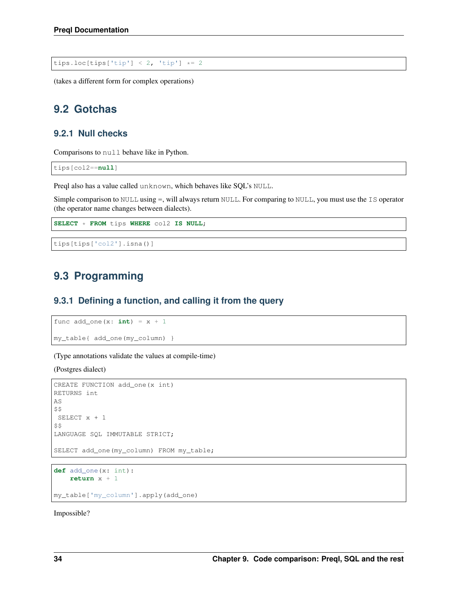tips.loc[tips['tip'] < 2, 'tip']  $*= 2$ 

(takes a different form for complex operations)

# **9.2 Gotchas**

### **9.2.1 Null checks**

Comparisons to null behave like in Python.

tips[col2==**null**]

Preql also has a value called unknown, which behaves like SQL's NULL.

Simple comparison to NULL using =, will always return NULL. For comparing to NULL, you must use the IS operator (the operator name changes between dialects).

```
SELECT * FROM tips WHERE col2 IS NULL;
```
tips[tips['col2'].isna()]

# **9.3 Programming**

### **9.3.1 Defining a function, and calling it from the query**

```
func add\_one(x: int) = x + 1my_table{ add_one(my_column) }
```
(Type annotations validate the values at compile-time)

(Postgres dialect)

```
CREATE FUNCTION add_one(x int)
RETURNS int
AS
$5SELECT x + 1
$SLANGUAGE SQL IMMUTABLE STRICT;
SELECT add_one(my_column) FROM my_table;
```

```
def add_one(x: int):
   return x + 1
```
my\_table['my\_column'].apply(add\_one)

Impossible?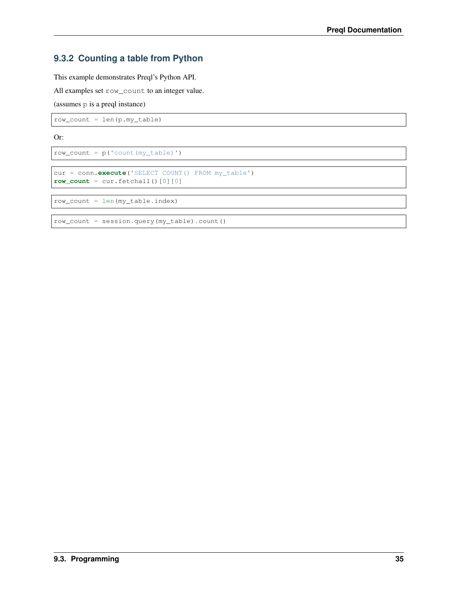### **9.3.2 Counting a table from Python**

This example demonstrates Preql's Python API.

All examples set row\_count to an integer value.

(assumes p is a preql instance)

row\_count = len(p.my\_table)

Or:

 $row\_count = p('count(my\_table)')$ 

```
cur = conn.execute('SELECT COUNT() FROM my_table')
row_count = cur.fetchall()[0][0]
```
row\_count = len(my\_table.index)

row\_count = session.query(my\_table).count()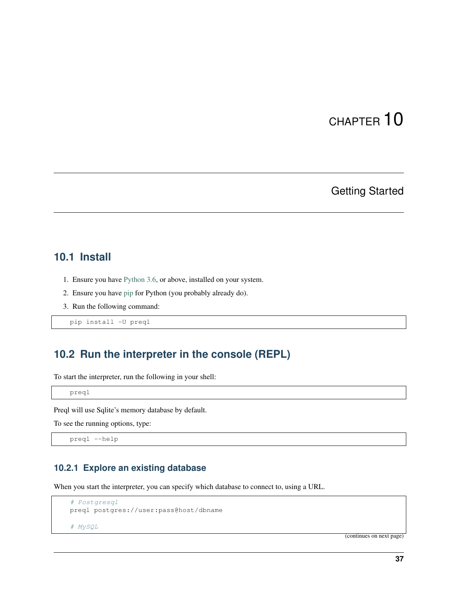# CHAPTER 10

# Getting Started

## **10.1 Install**

- 1. Ensure you have [Python 3.6,](https://www.python.org/downloads/) or above, installed on your system.
- 2. Ensure you have [pip](https://pip.pypa.io/en/stable/installing/) for Python (you probably already do).
- 3. Run the following command:

pip install -U preql

## **10.2 Run the interpreter in the console (REPL)**

To start the interpreter, run the following in your shell:

preql

Preql will use Sqlite's memory database by default.

To see the running options, type:

preql --help

### **10.2.1 Explore an existing database**

When you start the interpreter, you can specify which database to connect to, using a URL.

```
# Postgresql
preql postgres://user:pass@host/dbname
# MySQL
```
(continues on next page)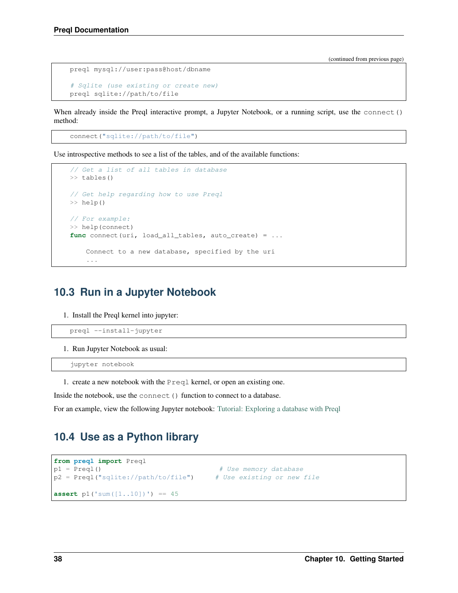(continued from previous page)

```
preql mysql://user:pass@host/dbname
# Sqlite (use existing or create new)
preql sqlite://path/to/file
```
When already inside the Preql interactive prompt, a Jupyter Notebook, or a running script, use the connect () method:

```
connect("sqlite://path/to/file")
```
Use introspective methods to see a list of the tables, and of the available functions:

```
// Get a list of all tables in database
>> tables()
// Get help regarding how to use Preql
>> help()
// For example:
>> help(connect)
func connect(uri, load_all_tables, auto_create) = ...
    Connect to a new database, specified by the uri
    ...
```
# **10.3 Run in a Jupyter Notebook**

1. Install the Preql kernel into jupyter:

preql --install-jupyter

1. Run Jupyter Notebook as usual:

jupyter notebook

1. create a new notebook with the Preql kernel, or open an existing one.

Inside the notebook, use the connect() function to connect to a database.

For an example, view the following Jupyter notebook: [Tutorial: Exploring a database with Preql](https://github.com/erezsh/Preql/blob/master/docs/chinook_tutorial.ipynb)

# **10.4 Use as a Python library**

```
from preql import Preql
p1 = Preq1() # Use memory database
p2 = Preql("sqlite://path/to/file") # Use existing or new file
assert p1('sum([1..10])') == 45
```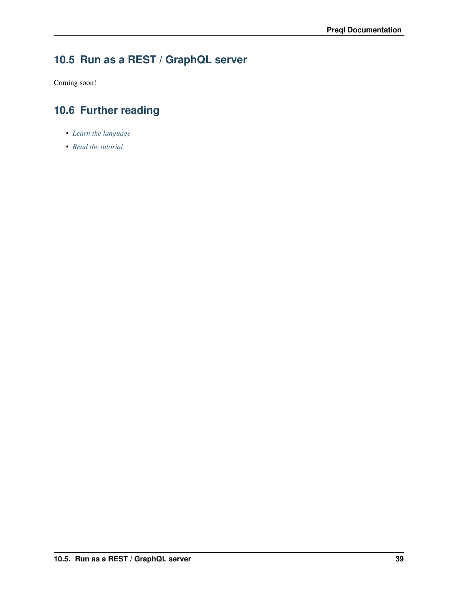# **10.5 Run as a REST / GraphQL server**

Coming soon!

# **10.6 Further reading**

- *[Learn the language](#page-46-0)*
- *[Read the tutorial](#page-20-0)*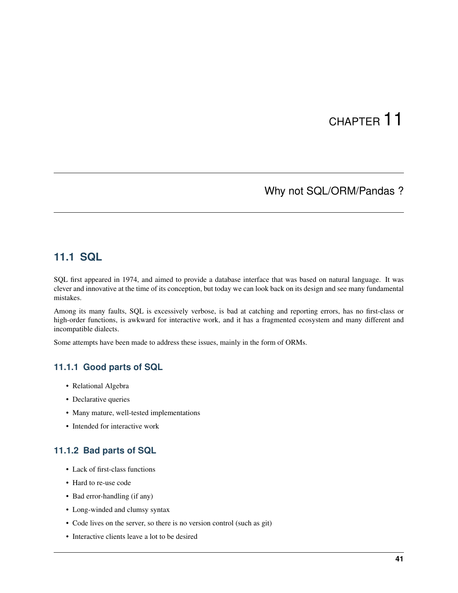# CHAPTER 11

# Why not SQL/ORM/Pandas ?

## **11.1 SQL**

SQL first appeared in 1974, and aimed to provide a database interface that was based on natural language. It was clever and innovative at the time of its conception, but today we can look back on its design and see many fundamental mistakes.

Among its many faults, SQL is excessively verbose, is bad at catching and reporting errors, has no first-class or high-order functions, is awkward for interactive work, and it has a fragmented ecosystem and many different and incompatible dialects.

Some attempts have been made to address these issues, mainly in the form of ORMs.

### **11.1.1 Good parts of SQL**

- Relational Algebra
- Declarative queries
- Many mature, well-tested implementations
- Intended for interactive work

### **11.1.2 Bad parts of SQL**

- Lack of first-class functions
- Hard to re-use code
- Bad error-handling (if any)
- Long-winded and clumsy syntax
- Code lives on the server, so there is no version control (such as git)
- Interactive clients leave a lot to be desired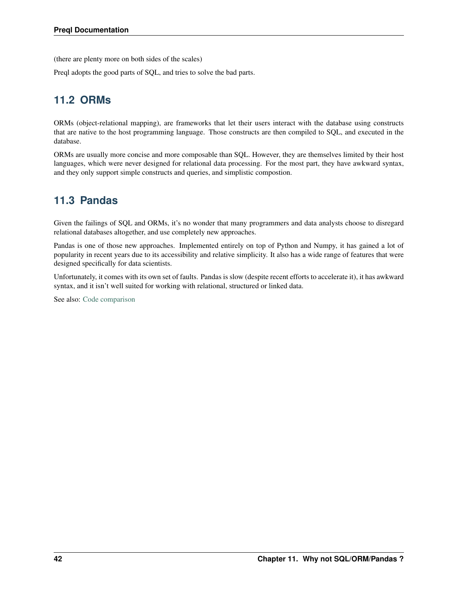(there are plenty more on both sides of the scales)

Preql adopts the good parts of SQL, and tries to solve the bad parts.

# **11.2 ORMs**

ORMs (object-relational mapping), are frameworks that let their users interact with the database using constructs that are native to the host programming language. Those constructs are then compiled to SQL, and executed in the database.

ORMs are usually more concise and more composable than SQL. However, they are themselves limited by their host languages, which were never designed for relational data processing. For the most part, they have awkward syntax, and they only support simple constructs and queries, and simplistic compostion.

# **11.3 Pandas**

Given the failings of SQL and ORMs, it's no wonder that many programmers and data analysts choose to disregard relational databases altogether, and use completely new approaches.

Pandas is one of those new approaches. Implemented entirely on top of Python and Numpy, it has gained a lot of popularity in recent years due to its accessibility and relative simplicity. It also has a wide range of features that were designed specifically for data scientists.

Unfortunately, it comes with its own set of faults. Pandas is slow (despite recent efforts to accelerate it), it has awkward syntax, and it isn't well suited for working with relational, structured or linked data.

See also: [Code comparison](comparison.html)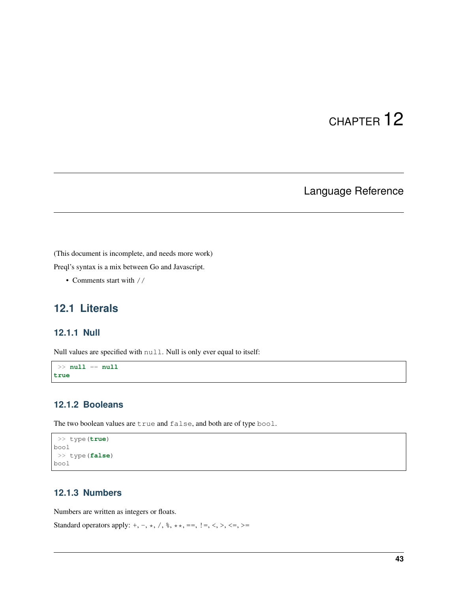# CHAPTER 12

# Language Reference

<span id="page-46-0"></span>(This document is incomplete, and needs more work)

Preql's syntax is a mix between Go and Javascript.

• Comments start with //

# **12.1 Literals**

### **12.1.1 Null**

Null values are specified with null. Null is only ever equal to itself:

```
>> null == null
true
```
### **12.1.2 Booleans**

The two boolean values are true and false, and both are of type bool.

```
>> type(true)
bool
>> type(false)
bool
```
### **12.1.3 Numbers**

Numbers are written as integers or floats.

Standard operators apply: +, -,  $\star$ , /,  $\frac{6}{5}$ ,  $\star \star$ , ==, !=, <, >, <=, >=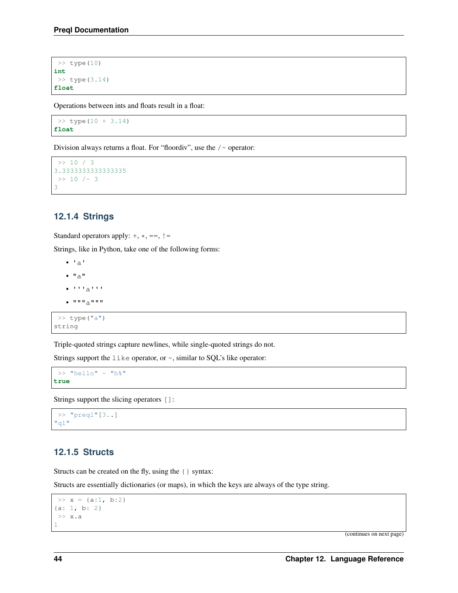```
\gg type (10)
int
>> type(3.14)float
```
Operations between ints and floats result in a float:

```
>> type(10 + 3.14)
float
```
Division always returns a float. For "floordiv", use the /~ operator:

```
>> 10 / 3
3.3333333333333335
>> 10 / ~33
```
### **12.1.4 Strings**

Standard operators apply:  $+, *, ==, !=$ 

Strings, like in Python, take one of the following forms:

 $\bullet$   $\bullet$   $\bullet$ 

- $\bullet$  " $a$ "
- '''a'''
- $\bullet$  """ $\bullet$  """

```
>> type("a")
string
```
Triple-quoted strings capture newlines, while single-quoted strings do not.

Strings support the like operator, or  $\sim$ , similar to SQL's like operator:

```
>> "hello" ~ "h%"
true
```
Strings support the slicing operators []:

```
>> "preql"[3..]
"ql"
```
### **12.1.5 Structs**

Structs can be created on the fly, using the { } syntax:

Structs are essentially dictionaries (or maps), in which the keys are always of the type string.

```
>> x = \{a:1, b:2\}{a: 1, b: 2}
\gg x.a
1
```
(continues on next page)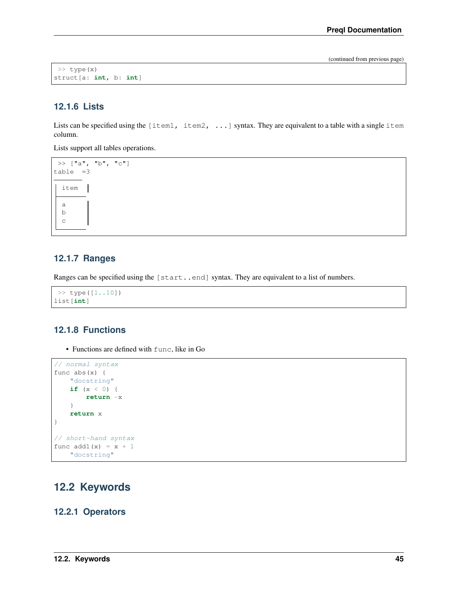(continued from previous page)

```
>> type(x)
struct[a: int, b: int]
```
### **12.1.6 Lists**

Lists can be specified using the [item1, item2, ...] syntax. They are equivalent to a table with a single item column.

Lists support all tables operations.

```
>> ["a", "b", "c"]
table =3
  item
  a
 b
  c
```
### **12.1.7 Ranges**

Ranges can be specified using the [start..end] syntax. They are equivalent to a list of numbers.

```
>> type([1..10])
list[int]
```
### **12.1.8 Functions**

• Functions are defined with func, like in Go

```
// normal syntax
func abs(x) {
   "docstring"
   if (x < 0) {
       return -x
    }
   return x
}
// short-hand syntax
func add1(x) = x + 1"docstring"
```
# **12.2 Keywords**

### **12.2.1 Operators**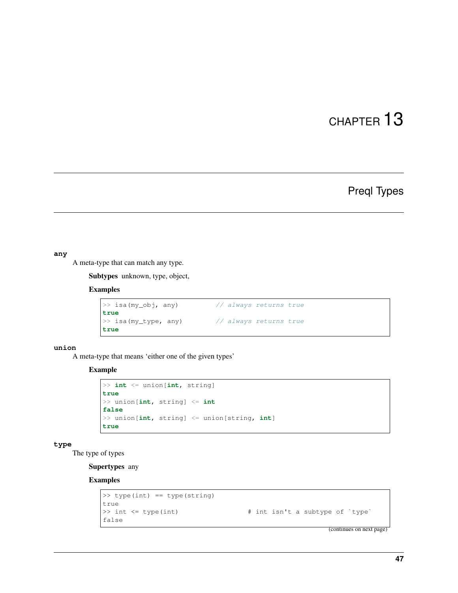# CHAPTER 13

Preql Types

### **any**

A meta-type that can match any type.

Subtypes unknown, type, object,

#### Examples

```
>> isa(my_obj, any) // always returns true
true
>> isa(my_type, any) // always returns true
true
```
#### **union**

A meta-type that means 'either one of the given types'

#### Example

```
>> int <= union[int, string]
true
>> union[int, string] <= int
false
>> union[int, string] <= union[string, int]
true
```
#### **type**

The type of types

Supertypes any

#### Examples

```
>> type(int) == type(string)
true
>> int <= type(int) # int isn't a subtype of `type`
false
```
(continues on next page)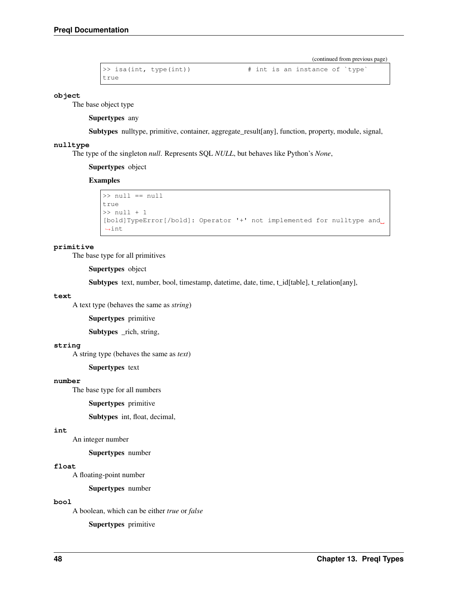(continued from previous page)

```
>> isa(int, type(int)) # int is an instance of `type`
true
```
#### **object**

The base object type

Supertypes any

Subtypes nulltype, primitive, container, aggregate\_result[any], function, property, module, signal,

#### **nulltype**

The type of the singleton *null*. Represents SQL *NULL*, but behaves like Python's *None*,

Supertypes object

Examples

```
>> null == null
true
>> null + 1
[bold]TypeError[/bold]: Operator '+' not implemented for nulltype and,
 ˓→int
```
#### **primitive**

The base type for all primitives

Supertypes object

Subtypes text, number, bool, timestamp, datetime, date, time, t\_id[table], t\_relation[any],

#### **text**

A text type (behaves the same as *string*)

#### Supertypes primitive

Subtypes \_rich, string,

#### **string**

A string type (behaves the same as *text*)

Supertypes text

#### **number**

The base type for all numbers

Supertypes primitive

Subtypes int, float, decimal,

#### **int**

An integer number

Supertypes number

#### **float**

A floating-point number

Supertypes number

#### **bool**

A boolean, which can be either *true* or *false*

Supertypes primitive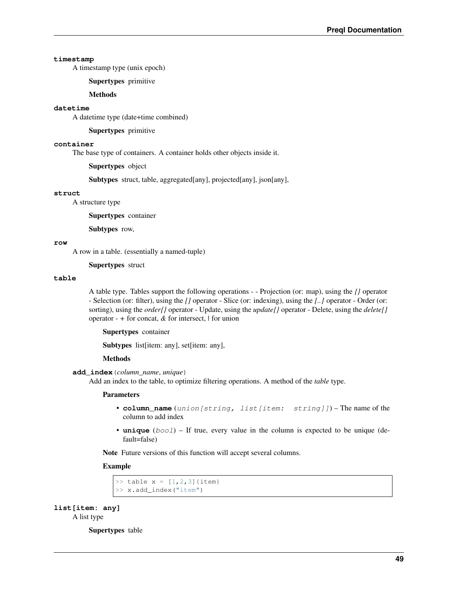#### **timestamp**

A timestamp type (unix epoch)

Supertypes primitive

#### **Methods**

#### **datetime**

A datetime type (date+time combined)

Supertypes primitive

#### **container**

The base type of containers. A container holds other objects inside it.

Supertypes object

Subtypes struct, table, aggregated[any], projected[any], json[any],

#### **struct**

A structure type

Supertypes container

Subtypes row,

#### **row**

A row in a table. (essentially a named-tuple)

Supertypes struct

#### **table**

A table type. Tables support the following operations - - Projection (or: map), using the *{}* operator - Selection (or: filter), using the *[]* operator - Slice (or: indexing), using the *[..]* operator - Order (or: sorting), using the *order* {} operator - Update, using the *update* {} operator - Delete, using the *delete* [] operator - *+* for concat, *&* for intersect, *|* for union

Supertypes container

Subtypes list [item: any], set [item: any],

#### Methods

**add\_index**(*column\_name*, *unique*)

Add an index to the table, to optimize filtering operations. A method of the *table* type.

#### Parameters

- **column\_name** (union[string, list[item: string]]) The name of the column to add index
- **unique** (bool) If true, every value in the column is expected to be unique (default=false)

Note Future versions of this function will accept several columns.

#### Example

```
>> table x = [1, 2, 3] {item}
>> x.add_index("item")
```
#### **list[item: any]**

A list type

Supertypes table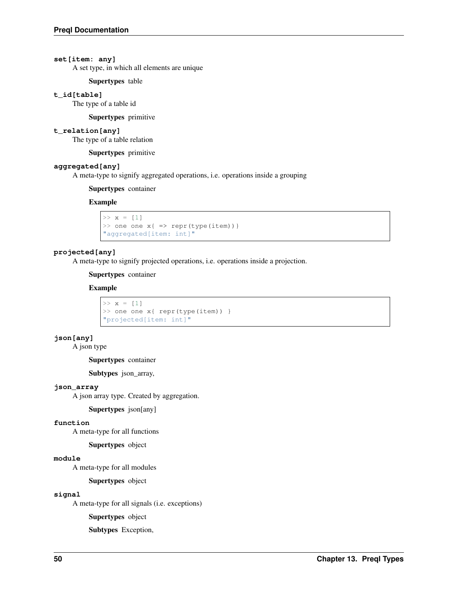#### **set[item: any]**

A set type, in which all elements are unique

Supertypes table

#### **t\_id[table]**

The type of a table id

Supertypes primitive

#### **t\_relation[any]**

The type of a table relation

Supertypes primitive

#### **aggregated[any]**

A meta-type to signify aggregated operations, i.e. operations inside a grouping

Supertypes container

#### Example

```
>> x = [1]>> one one x{ => repr(type(item))}
"aggregated[item: int]"
```
#### **projected[any]**

A meta-type to signify projected operations, i.e. operations inside a projection.

#### Supertypes container

#### Example

```
>> x = [1]>> one one x{ repr(type(item)) }
"projected[item: int]"
```
#### **json[any]**

A json type

Supertypes container

Subtypes json\_array,

#### **json\_array**

A json array type. Created by aggregation.

Supertypes json[any]

#### **function**

A meta-type for all functions

#### Supertypes object

#### **module**

A meta-type for all modules

Supertypes object

#### **signal**

A meta-type for all signals (i.e. exceptions)

Supertypes object

Subtypes Exception,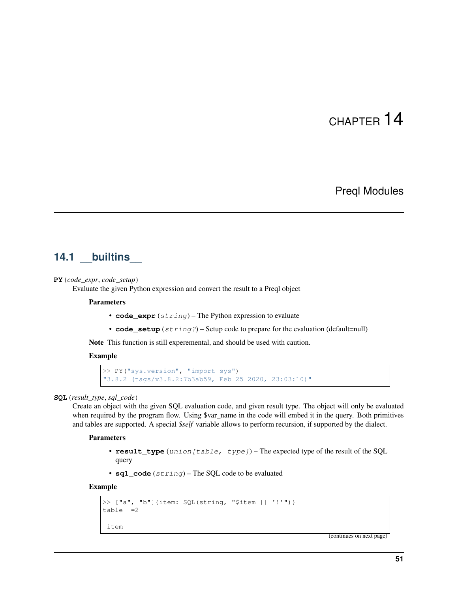# CHAPTER 14

# Preql Modules

### **14.1 \_\_builtins\_\_**

#### **PY**(*code\_expr*, *code\_setup*)

Evaluate the given Python expression and convert the result to a Preql object

#### **Parameters**

- **code\_expr** (string) The Python expression to evaluate
- **code\_setup**  $(string?) Setup code to prepare for the evaluation (default=null)$

Note This function is still experemental, and should be used with caution.

#### Example

```
>> PY("sys.version", "import sys")
"3.8.2 (tags/v3.8.2:7b3ab59, Feb 25 2020, 23:03:10)"
```
#### **SQL**(*result\_type*, *sql\_code*)

Create an object with the given SQL evaluation code, and given result type. The object will only be evaluated when required by the program flow. Using  $\sqrt{2}$  var\_name in the code will embed it in the query. Both primitives and tables are supported. A special *\$self* variable allows to perform recursion, if supported by the dialect.

#### Parameters

- **result\_type** (union[table, type]) The expected type of the result of the SQL query
- **sql\_code** (string) The SQL code to be evaluated

Example

```
>> ["a", "b"]{item: SQL(string, "$item || '!'")}
table =2
item
```
(continues on next page)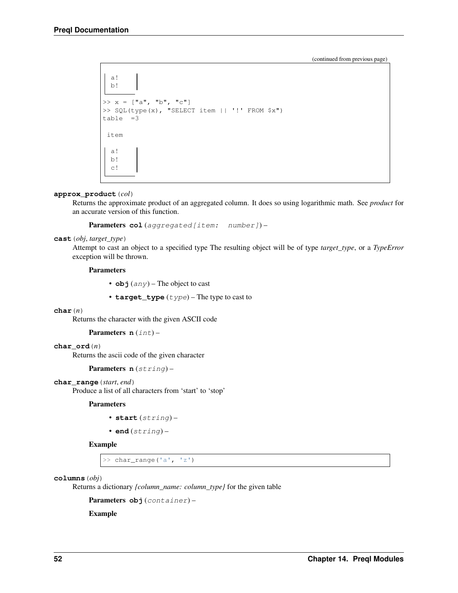(continued from previous page)

a! b!  $>> x = [\n^{\mathsf{m}} a^n, \n^{\mathsf{m}} b^n, \n^{\mathsf{m}} c^n]$ >> SQL(type(x), "SELECT item || '!' FROM \$x") table =3 item a! b! c!

#### **approx\_product**(*col*)

Returns the approximate product of an aggregated column. It does so using logarithmic math. See *product* for an accurate version of this function.

```
Parameters col (aggregated [item: number]) -
```
#### **cast**(*obj*, *target\_type*)

Attempt to cast an object to a specified type The resulting object will be of type *target\_type*, or a *TypeError* exception will be thrown.

#### Parameters

- **obj** (any) The object to cast
- **target\_type** (*type*) The type to cast to

 $char(n)$ 

Returns the character with the given ASCII code

```
Parameters n(int) –
```
**char\_ord**(*n*)

Returns the ascii code of the given character

Parameters **n** (string) –

#### **char\_range**(*start*, *end*)

Produce a list of all characters from 'start' to 'stop'

**Parameters** 

- **start** (string) –
- **end** (string) –

#### Example

 $\gg$  char\_range('a', 'z')

#### **columns**(*obj*)

Returns a dictionary *{column\_name: column\_type}* for the given table

```
Parameters obj (container) -
```
Example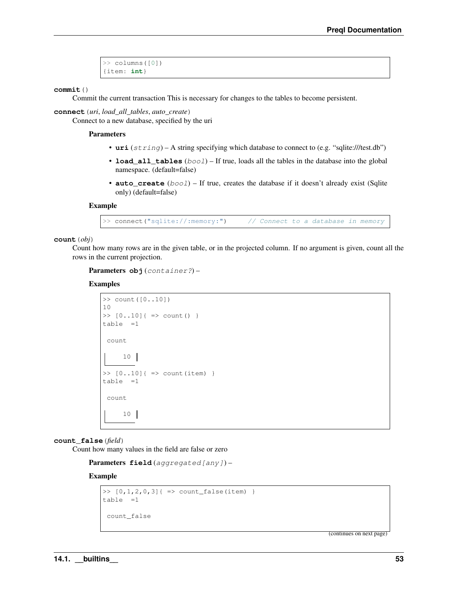>> columns([0]) {item: **int**}

**commit**()

Commit the current transaction This is necessary for changes to the tables to become persistent.

**connect**(*uri*, *load\_all\_tables*, *auto\_create*)

Connect to a new database, specified by the uri

#### Parameters

- **uri** (string) A string specifying which database to connect to (e.g. "sqlite:///test.db")
- **load\_all\_tables** (bool) If true, loads all the tables in the database into the global namespace. (default=false)
- **auto\_create** (bool) If true, creates the database if it doesn't already exist (Sqlite only) (default=false)

#### Example



#### **count**(*obj*)

Count how many rows are in the given table, or in the projected column. If no argument is given, count all the rows in the current projection.

#### Parameters obj(container?)-

#### Examples

```
>> count([0..10])
10
>> [0..10]{ => count() }
table =1
 count
     10
>> [0..10]{ => count(item) }
table =1
 count
     10
```
#### **count\_false**(*field*)

Count how many values in the field are false or zero

Parameters field (aggregated [any]) -

#### Example

```
>> [0, 1, 2, 0, 3] { => count_false(item) }
table =1
 count_false
```
(continues on next page)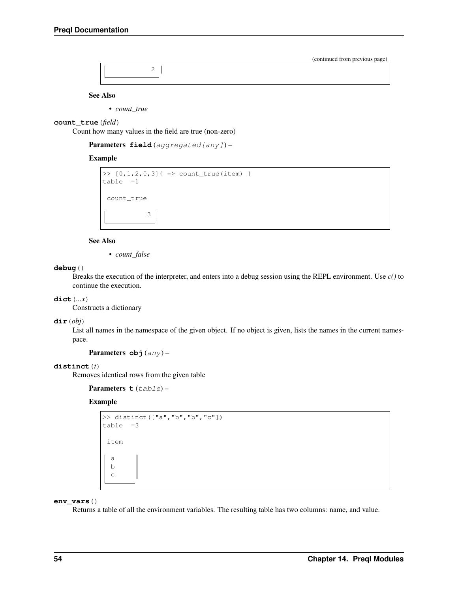(continued from previous page)

See Also

• *count\_true*

**count\_true**(*field*)

Count how many values in the field are true (non-zero)

2

Parameters field (aggregated [any]) -

Example

```
>> [0, 1, 2, 0, 3] { => count_true(item) }
table =1
 count_true
           3
```
See Also

• *count\_false*

#### **debug**()

Breaks the execution of the interpreter, and enters into a debug session using the REPL environment. Use *c()* to continue the execution.

#### **dict**(*...x*)

Constructs a dictionary

**dir**(*obj*)

List all names in the namespace of the given object. If no object is given, lists the names in the current namespace.

Parameters **obj** (any) –

#### **distinct**(*t*)

Removes identical rows from the given table

Parameters  $t$  (table) –

#### Example

```
>> distinct(["a","b","b","c"])
table = 3item
  a
  b
  c
```
**env\_vars**()

Returns a table of all the environment variables. The resulting table has two columns: name, and value.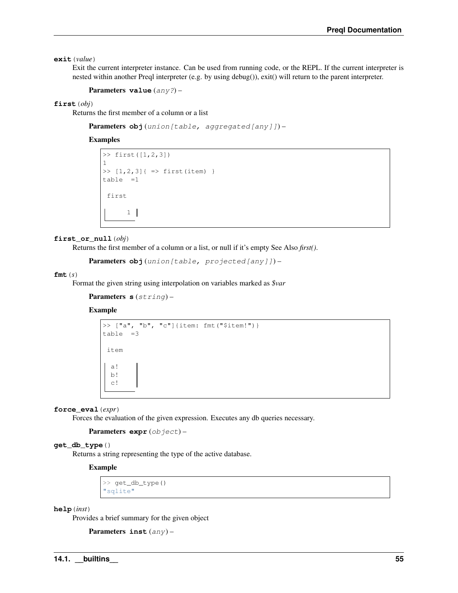**exit**(*value*)

Exit the current interpreter instance. Can be used from running code, or the REPL. If the current interpreter is nested within another Preql interpreter (e.g. by using debug()), exit() will return to the parent interpreter.

```
Parameters value (any?) –
```
#### **first**(*obj*)

Returns the first member of a column or a list

```
Parameters obj(union[table, aggregated[any]])-
```
Examples

```
>> first([1,2,3])
1
>> [1,2,3]{ => first(item) }
table =1
 first
      1
```
#### **first\_or\_null**(*obj*)

Returns the first member of a column or a list, or null if it's empty See Also *first()*.

Parameters obj(union[table, projected[any]])-

**fmt**(*s*)

Format the given string using interpolation on variables marked as *\$var*

Parameters **s** (string) –

Example

```
>> ["a", "b", "c"]{item: fmt("$item!")}
table = 3item
  a!
 b!
  c!
```
**force\_eval**(*expr*)

Forces the evaluation of the given expression. Executes any db queries necessary.

```
Parameters expr (object) -
```
**get\_db\_type**()

Returns a string representing the type of the active database.

#### Example

```
>> get_db_type()
"sqlite"
```
**help**(*inst*)

Provides a brief summary for the given object

```
Parameters inst (any) –
```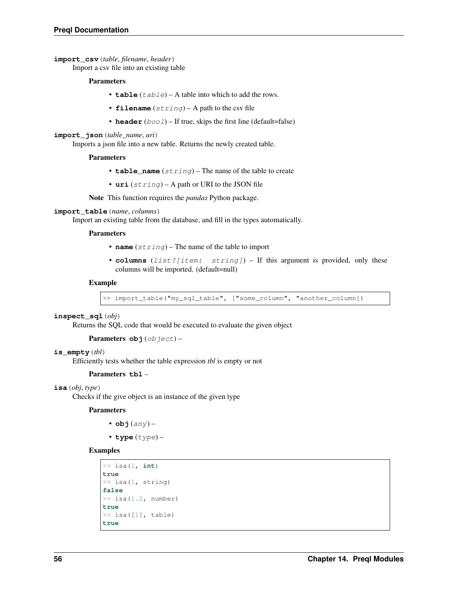#### **import\_csv**(*table*, *filename*, *header*)

Import a csv file into an existing table

#### **Parameters**

- $table(table) A table into which to add the rows.$
- **filename** (string) A path to the csv file
- **header**  $(boo1)$  If true, skips the first line (default=false)

#### **import\_json**(*table\_name*, *uri*)

Imports a json file into a new table. Returns the newly created table.

#### Parameters

- **table\_name** (string) The name of the table to create
- **uri** (string) A path or URI to the JSON file

Note This function requires the *pandas* Python package.

#### **import\_table**(*name*, *columns*)

Import an existing table from the database, and fill in the types automatically.

#### **Parameters**

- **name**  $(string)$  The name of the table to import
- **columns** (list?[item: string]) If this argument is provided, only these columns will be imported. (default=null)

#### Example

```
>> import_table("my_sql_table", ["some_column", "another_column])
```
#### **inspect\_sql**(*obj*)

Returns the SQL code that would be executed to evaluate the given object

#### Parameters **obj** (object) –

#### **is\_empty**(*tbl*)

Efficiently tests whether the table expression *tbl* is empty or not

#### Parameters **tbl** –

**isa**(*obj*, *type*)

Checks if the give object is an instance of the given type

#### **Parameters**

- **obj** (any) –
- $type(type)$  –

#### Examples

```
>> isa(1, int)
true
\gg isa(1, string)
false
\gg isa(1.2, number)
true
\gg isa([1], table)
true
```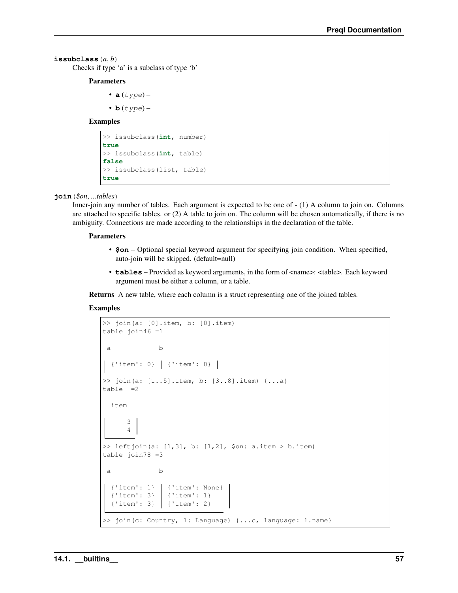#### **issubclass**(*a*, *b*)

Checks if type 'a' is a subclass of type 'b'

#### **Parameters**

- $a(type) -$
- $\mathbf{b}$  (type) –

#### Examples

```
>> issubclass(int, number)
true
>> issubclass(int, table)
false
>> issubclass(list, table)
true
```
#### **join**(*\$on*, *...tables*)

Inner-join any number of tables. Each argument is expected to be one of - (1) A column to join on. Columns are attached to specific tables. or (2) A table to join on. The column will be chosen automatically, if there is no ambiguity. Connections are made according to the relationships in the declaration of the table.

#### **Parameters**

- **\$on** Optional special keyword argument for specifying join condition. When specified, auto-join will be skipped. (default=null)
- **tables** Provided as keyword arguments, in the form of <name>: <table>. Each keyword argument must be either a column, or a table.

Returns A new table, where each column is a struct representing one of the joined tables.

#### Examples

```
>> join(a: [0].item, b: [0].item)
table join46 =1
 a b
  {'item': 0} {'item': 0}
>> join(a: [1..5].item, b: [3..8].item) {...a}
table =2
 item
     3
     4
\gg leftjoin(a: [1,3], b: [1,2], $on: a.item > b.item)
table join78 =3
 a b
  {'item': 1} {'item': None}
  {'item': 3} {'item': 1}
  {'item': 3} {'item': 2}
>> join(c: Country, l: Language) {...c, language: l.name}
```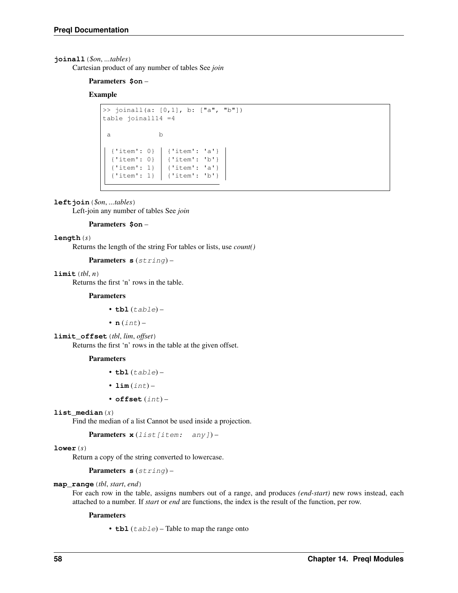#### **joinall**(*\$on*, *...tables*)

Cartesian product of any number of tables See *join*

#### Parameters **\$on** –

#### Example

```
>> joinall(a: [0,1], b: ["a", "b"])
table joinall14 =4
a b
 {'item': 0} {'item': 'a'}
 {'item': 0} {'item': 'b'}
 {'item': 1} {'item': 'a'}
 {'item': 1} {'item': 'b'}
```
**leftjoin**(*\$on*, *...tables*)

Left-join any number of tables See *join*

#### Parameters **\$on** –

#### **length**(*s*)

Returns the length of the string For tables or lists, use *count()*

```
Parameters s (string) –
```
#### $\text{limit}(thl, n)$

Returns the first 'n' rows in the table.

#### **Parameters**

- $\cdot$  **tbl**  $(table)$  –
- $n(int)$  –

#### **limit\_offset**(*tbl*, *lim*, *offset*)

Returns the first 'n' rows in the table at the given offset.

#### **Parameters**

- $\cdot$  **tbl**  $(table)$  –
- $\cdot$   $\lim (int) -$
- **offset** (int) –

#### **list\_median**(*x*)

Find the median of a list Cannot be used inside a projection.

```
Parameters \mathbf{x} (list [item: any]) –
```
#### **lower**(*s*)

Return a copy of the string converted to lowercase.

```
Parameters s (string) –
```
#### **map\_range**(*tbl*, *start*, *end*)

For each row in the table, assigns numbers out of a range, and produces *(end-start)* new rows instead, each attached to a number. If *start* or *end* are functions, the index is the result of the function, per row.

#### Parameters

• **tbl**  $(table)$  – Table to map the range onto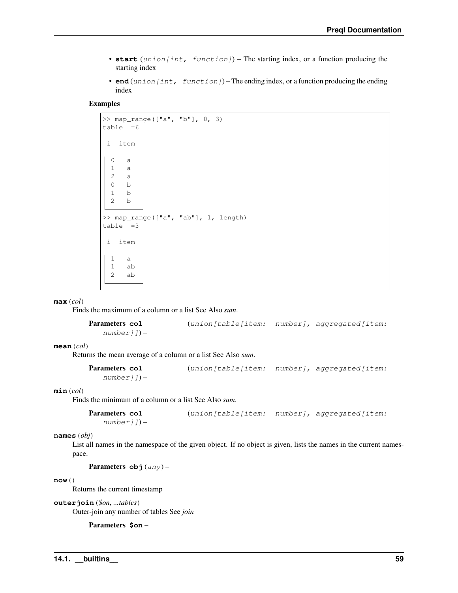- **start** (union [int, function]) The starting index, or a function producing the starting index
- **end** (union [int, function]) The ending index, or a function producing the ending index

#### Examples

```
>> map_range(["a", "b"], 0, 3)
table = 6i item
  0 a
  1 \mid a2 | a0 b
  1 | b2 | b>> map_range(["a", "ab"], 1, length)
table =3
 i item
  1 \mid a1 \mid ab2 \mid ab
```
#### **max**(*col*)

Finds the maximum of a column or a list See Also *sum*.

| Parameters col | $(union[table item: number], aggregated item:$ |  |
|----------------|------------------------------------------------|--|
| $number(1)$ -  |                                                |  |

#### **mean**(*col*)

Returns the mean average of a column or a list See Also *sum*.

```
Parameters col parameters (union[table[item: number], aggregated[item:
   number]]) –
```
#### **min**(*col*)

Finds the minimum of a column or a list See Also *sum*.

Parameters col  $(union[table[item: number], aggregated[item:$  $number$ ]]) –

#### **names**(*obj*)

List all names in the namespace of the given object. If no object is given, lists the names in the current namespace.

```
Parameters obj (any) –
```
#### **now**()

Returns the current timestamp

```
outerjoin($on, ...tables)
```
Outer-join any number of tables See *join*

```
Parameters $on –
```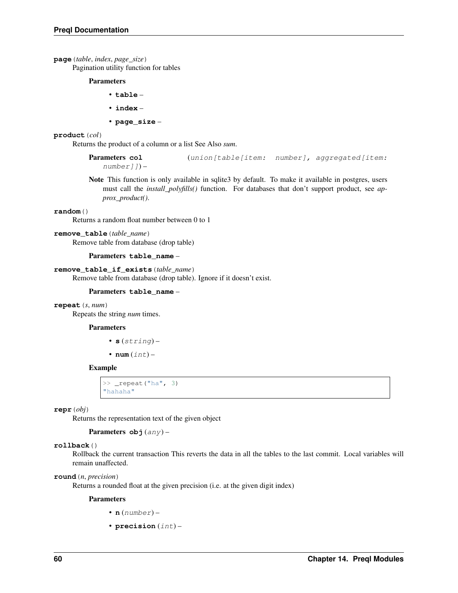**page**(*table*, *index*, *page\_size*)

Pagination utility function for tables

#### **Parameters**

- **table** –
- **index** –
- **page\_size** –

#### **product**(*col*)

Returns the product of a column or a list See Also *sum*.

```
Parameters col (union[table[item: number], aggregated[item: ]number]]) –
```
Note This function is only available in sqlite3 by default. To make it available in postgres, users must call the *install\_polyfills()* function. For databases that don't support product, see *approx\_product()*.

#### **random**()

Returns a random float number between 0 to 1

#### **remove\_table**(*table\_name*)

Remove table from database (drop table)

#### Parameters **table\_name** –

#### **remove\_table\_if\_exists**(*table\_name*)

Remove table from database (drop table). Ignore if it doesn't exist.

#### Parameters **table\_name** –

**repeat**(*s*, *num*)

Repeats the string *num* times.

#### **Parameters**

- $s$  (string) –
- $num(int)$  –

#### Example

 $\gg$  \_repeat("ha", 3) "hahaha"

#### **repr**(*obj*)

Returns the representation text of the given object

```
Parameters obj (any) –
```
#### **rollback**()

Rollback the current transaction This reverts the data in all the tables to the last commit. Local variables will remain unaffected.

#### **round**(*n*, *precision*)

Returns a rounded float at the given precision (i.e. at the given digit index)

- $n$  (number) –
- **precision** (int) –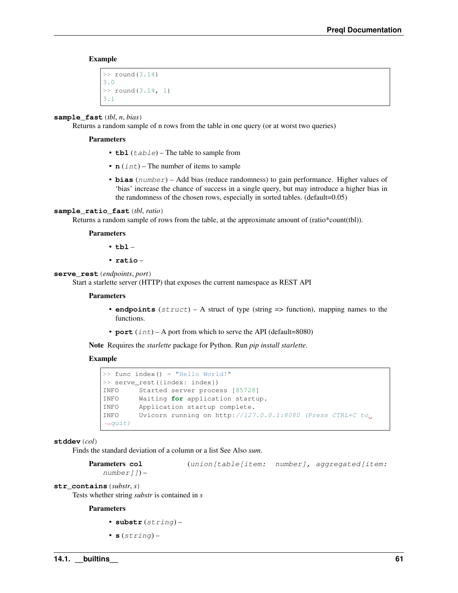#### Example

```
\gg round (3.14)
3.0
>> round(3.14, 1)
3.1
```
#### **sample\_fast**(*tbl*, *n*, *bias*)

Returns a random sample of n rows from the table in one query (or at worst two queries)

#### **Parameters**

- **tbl**  $(table)$  The table to sample from
- $\mathbf{n}$  (int) The number of items to sample
- **bias** (number) Add bias (reduce randomness) to gain performance. Higher values of 'bias' increase the chance of success in a single query, but may introduce a higher bias in the randomness of the chosen rows, especially in sorted tables. (default=0.05)

#### **sample\_ratio\_fast**(*tbl*, *ratio*)

Returns a random sample of rows from the table, at the approximate amount of (ratio\*count(tbl)).

**Parameters** 

• **tbl** –

• **ratio** –

#### **serve\_rest**(*endpoints*, *port*)

Start a starlette server (HTTP) that exposes the current namespace as REST API

#### **Parameters**

- **endpoints** (struct) A struct of type (string => function), mapping names to the functions.
- **port**  $(int)$  A port from which to serve the API (default=8080)

Note Requires the *starlette* package for Python. Run *pip install starlette*.

#### Example

```
>> func index() = "Hello World!"
>> serve_rest({index: index})
INFO Started server process [85728]
INFO Waiting for application startup.
INFO Application startup complete.
INFO Uvicorn running on http://127.0.0.1:8080 (Press CTRL+C to
\rightarrowquit)
```
#### **stddev**(*col*)

Finds the standard deviation of a column or a list See Also *sum*.

Parameters col  $(union[table[item: number], aggregated[item:$  $number(1)$  –

#### **str\_contains**(*substr*, *s*)

Tests whether string *substr* is contained in *s*

- **substr** (string) –
- **s** (string) –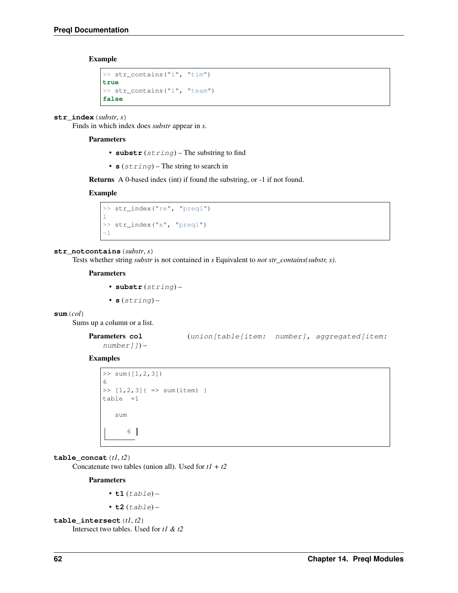#### Example

```
>> str_contains("i", "tim")
true
>> str_contains("i", "team")
false
```
**str\_index**(*substr*, *s*)

Finds in which index does *substr* appear in *s*.

#### **Parameters**

- **substr** (string) The substring to find
- **s** (string) The string to search in

Returns A 0-based index (int) if found the substring, or -1 if not found.

#### Example

```
>> str_index("re", "preql")
1
>> str_index("x", "preql")
-1
```
#### **str\_notcontains**(*substr*, *s*)

Tests whether string *substr* is not contained in *s* Equivalent to *not str\_contains(substr, s)*.

#### **Parameters**

- **substr** (string) –
- $s$  (string) –

#### **sum**(*col*)

Sums up a column or a list.

```
Parameters col parameters (union[table[item: number], aggregated[item:
   number]]) –
```
Examples

```
>> sum([1,2,3])
6
>> [1,2,3]{ => sum(item) }
table =1sum
      6
```
**table\_concat**(*t1*, *t2*)

Concatenate two tables (union all). Used for *t1 + t2*

- $\cdot$  **t1** (table) –
- $\cdot$  **t2** (table) –

```
table_intersect(t1, t2)
     Intersect two tables. Used for t1 & t2
```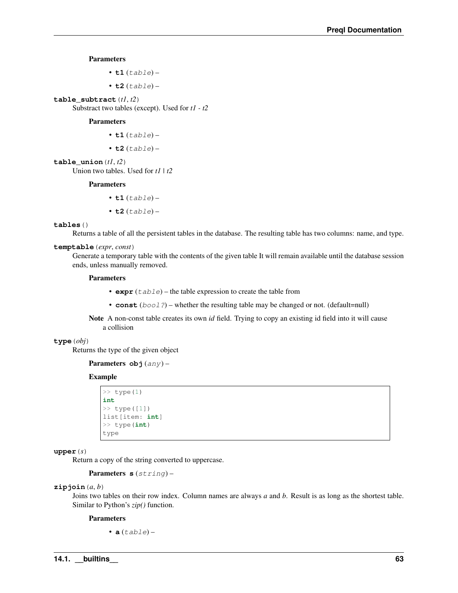#### **Parameters**

- $\cdot$  **t1** (table) –
- $\cdot$  **t2** (*table*) –

**table\_subtract**(*t1*, *t2*)

Substract two tables (except). Used for *t1 - t2*

#### **Parameters**

- $\cdot$  **t1** (table) –
- $\cdot$  **t2** (*table*) –
- **table\_union**(*t1*, *t2*)

Union two tables. Used for *t1 | t2*

#### **Parameters**

- $\cdot$  **t1** (table) –
- $\cdot$  **t2** (table) –

#### **tables**()

Returns a table of all the persistent tables in the database. The resulting table has two columns: name, and type.

#### **temptable**(*expr*, *const*)

Generate a temporary table with the contents of the given table It will remain available until the database session ends, unless manually removed.

#### Parameters

- $\exp(r \tabla \cdot e)$  the table expression to create the table from
- **const** (bool?) whether the resulting table may be changed or not. (default=null)
- Note A non-const table creates its own *id* field. Trying to copy an existing id field into it will cause a collision

#### **type**(*obj*)

Returns the type of the given object

```
Parameters obj (any) –
```
Example

```
\gg type(1)
int
>> type([1])
list[item: int]
>> type(int)
type
```
#### **upper**(*s*)

Return a copy of the string converted to uppercase.

#### Parameters **s** (string) –

#### $\mathbf{zipjoin}(a, b)$

Joins two tables on their row index. Column names are always *a* and *b*. Result is as long as the shortest table. Similar to Python's *zip()* function.

**Parameters** 

 $\bullet$  **a**  $(table)$  –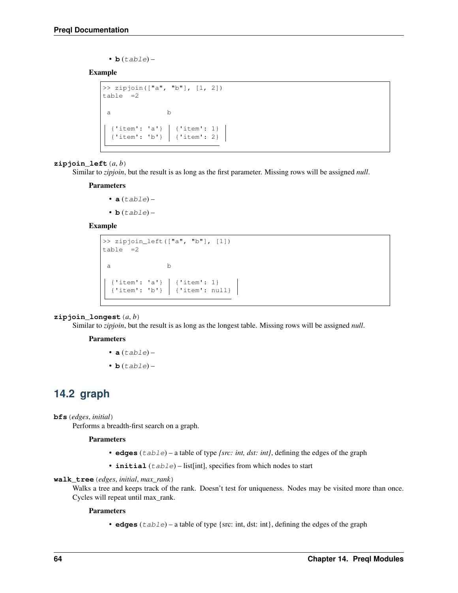$\cdot$  **b**  $(table)$  –

#### Example

```
>> zipjoin(["a", "b"], [1, 2])
table =2
 a b
 {'item': 'a'} {'item': 1}
 {'item': 'b'} {'item': 2}
```
#### **zipjoin\_left**(*a*, *b*)

Similar to *zipjoin*, but the result is as long as the first parameter. Missing rows will be assigned *null*.

#### Parameters

- $\cdot$  **a** (table) –
- $\mathbf{b}$  (table) –

Example

```
>> zipjoin_left(["a", "b"], [1])
table = 2a b
  {'item': 'a'} {'item': 1}
  {\{\text{'item': 'b'}\}\mid {\{\text{'item': null}\}}}
```
#### **zipjoin\_longest**(*a*, *b*)

Similar to *zipjoin*, but the result is as long as the longest table. Missing rows will be assigned *null*.

#### **Parameters**

- $\bullet$  **a**  $(table)$  –
- $\cdot$  **b**  $(table)$  –

## **14.2 graph**

#### **bfs**(*edges*, *initial*)

Performs a breadth-first search on a graph.

#### **Parameters**

- **edges** (table) a table of type *{src: int, dst: int}*, defining the edges of the graph
- **initial** (table) list[int], specifies from which nodes to start

#### **walk\_tree**(*edges*, *initial*, *max\_rank*)

Walks a tree and keeps track of the rank. Doesn't test for uniqueness. Nodes may be visited more than once. Cycles will repeat until max\_rank.

#### **Parameters**

• **edges**  $(tab1e)$  – a table of type {src: int, dst: int}, defining the edges of the graph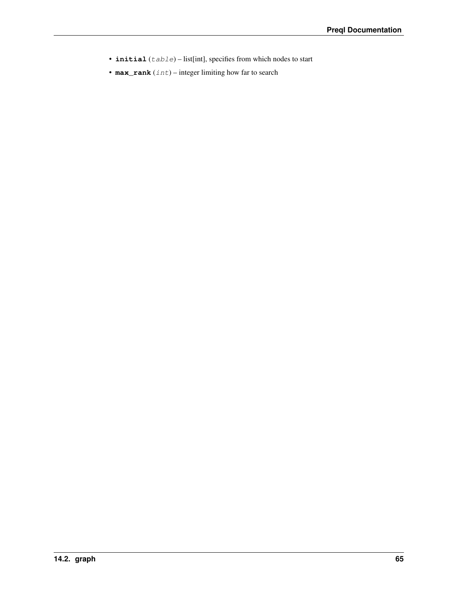- **initial** (table) list[int], specifies from which nodes to start
- **max\_rank** (int) integer limiting how far to search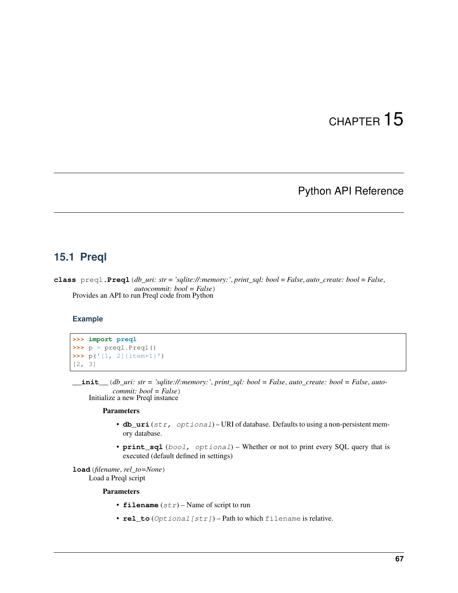# CHAPTER 15

# Python API Reference

# **15.1 Preql**

**class** preql.**Preql**(*db\_uri: str = 'sqlite://:memory:'*, *print\_sql: bool = False*, *auto\_create: bool = False*, *autocommit: bool = False*) Provides an API to run Preql code from Python

#### **Example**

```
>>> import preql
>>> p = preql.Preql()
>>> p('[1, 2]{item+1}')
[2, 3]
```
**\_\_init\_\_**(*db\_uri: str = 'sqlite://:memory:'*, *print\_sql: bool = False*, *auto\_create: bool = False*, *autocommit: bool = False*) Initialize a new Preql instance

#### Parameters

- **db\_uri** (str, optional) URI of database. Defaults to using a non-persistent memory database.
- **print\_sql** (bool, optional) Whether or not to print every SQL query that is executed (default defined in settings)

**load**(*filename*, *rel\_to=None*) Load a Preql script

- **filename**  $(str)$  Name of script to run
- **rel\_to** (Optional[str]) Path to which filename is relative.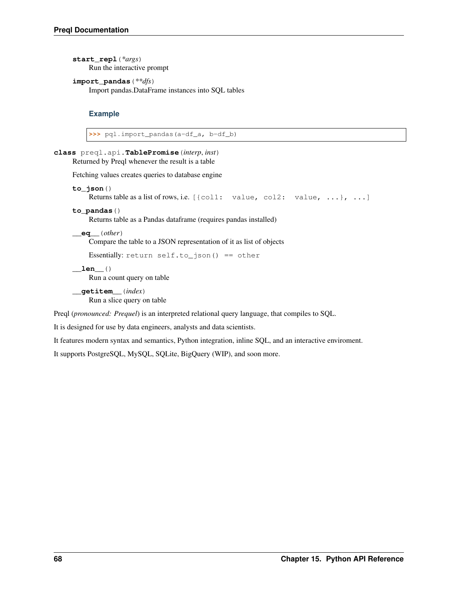```
start_repl(*args)
         Run the interactive prompt
     import_pandas(**dfs)
          Import pandas.DataFrame instances into SQL tables
          Example
          >>> pql.import_pandas(a=df_a, b=df_b)
class preql.api.TablePromise(interp, inst)
     Returned by Preql whenever the result is a table
```
Fetching values creates queries to database engine

```
to_json()
      Returns table as a list of rows, i.e. [\{\text{coll}: \text{value}, \text{col2}: \text{value}, \ldots\}, \ldots]
```
**to\_pandas**()

Returns table as a Pandas dataframe (requires pandas installed)

**\_\_eq\_\_**(*other*)

Compare the table to a JSON representation of it as list of objects

Essentially: return self.to\_json() == other

**\_\_len\_\_**()

Run a count query on table

**\_\_getitem\_\_**(*index*) Run a slice query on table

Preql (*pronounced: Prequel*) is an interpreted relational query language, that compiles to SQL.

It is designed for use by data engineers, analysts and data scientists.

It features modern syntax and semantics, Python integration, inline SQL, and an interactive enviroment.

It supports PostgreSQL, MySQL, SQLite, BigQuery (WIP), and soon more.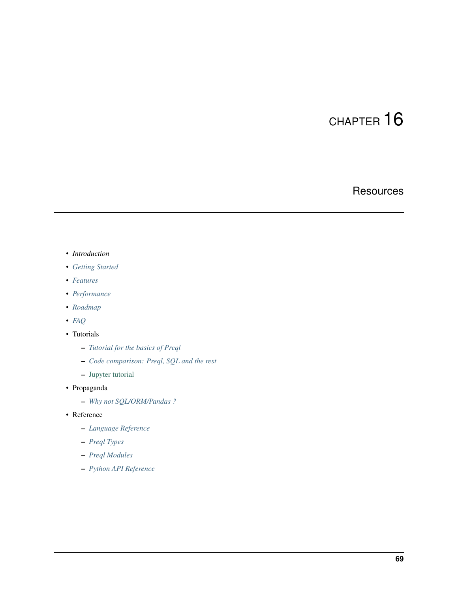# CHAPTER 16

### **Resources**

- *Introduction*
- *[Getting Started](#page-40-0)*
- *[Features](#page-12-0)*
- *[Performance](#page-14-0)*
- *[Roadmap](#page-16-0)*
- *[FAQ](#page-18-0)*
- Tutorials
	- *[Tutorial for the basics of Preql](#page-20-0)*
	- *[Code comparison: Preql, SQL and the rest](#page-34-0)*
	- [Jupyter tutorial](https://github.com/erezsh/Preql/blob/master/docs/chinook_tutorial.ipynb)
- Propaganda
	- *[Why not SQL/ORM/Pandas ?](#page-44-0)*
- Reference
	- *[Language Reference](#page-46-0)*
	- *[Preql Types](#page-50-0)*
	- *[Preql Modules](#page-54-0)*
	- *[Python API Reference](#page-70-0)*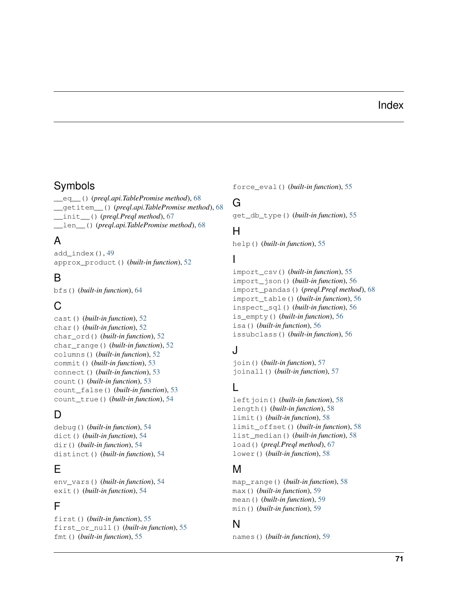### Index

### Symbols

\_\_eq\_\_() (*preql.api.TablePromise method*), [68](#page-71-0) \_\_getitem\_\_() (*preql.api.TablePromise method*), [68](#page-71-0) \_\_init\_\_() (*preql.Preql method*), [67](#page-70-1) \_\_len\_\_() (*preql.api.TablePromise method*), [68](#page-71-0)

### A

add\_index(), [49](#page-52-0) approx\_product() (*built-in function*), [52](#page-55-0)

### B

bfs() (*built-in function*), [64](#page-67-0)

# C

cast() (*built-in function*), [52](#page-55-0) char() (*built-in function*), [52](#page-55-0) char\_ord() (*built-in function*), [52](#page-55-0) char\_range() (*built-in function*), [52](#page-55-0) columns() (*built-in function*), [52](#page-55-0) commit() (*built-in function*), [53](#page-56-0) connect() (*built-in function*), [53](#page-56-0) count() (*built-in function*), [53](#page-56-0) count\_false() (*built-in function*), [53](#page-56-0) count\_true() (*built-in function*), [54](#page-57-0)

# D

debug() (*built-in function*), [54](#page-57-0) dict() (*built-in function*), [54](#page-57-0) dir() (*built-in function*), [54](#page-57-0) distinct() (*built-in function*), [54](#page-57-0)

### E

env\_vars() (*built-in function*), [54](#page-57-0) exit() (*built-in function*), [54](#page-57-0)

#### F

first() (*built-in function*), [55](#page-58-0) first\_or\_null() (*built-in function*), [55](#page-58-0) fmt() (*built-in function*), [55](#page-58-0)

force\_eval() (*built-in function*), [55](#page-58-0)

### G

get\_db\_type() (*built-in function*), [55](#page-58-0)

### H

help() (*built-in function*), [55](#page-58-0)

#### I

import\_csv() (*built-in function*), [55](#page-58-0) import\_json() (*built-in function*), [56](#page-59-0) import\_pandas() (*preql.Preql method*), [68](#page-71-0) import\_table() (*built-in function*), [56](#page-59-0) inspect\_sql() (*built-in function*), [56](#page-59-0) is\_empty() (*built-in function*), [56](#page-59-0) isa() (*built-in function*), [56](#page-59-0) issubclass() (*built-in function*), [56](#page-59-0)

#### J

join() (*built-in function*), [57](#page-60-0) joinall() (*built-in function*), [57](#page-60-0)

#### L

leftjoin() (*built-in function*), [58](#page-61-0) length() (*built-in function*), [58](#page-61-0) limit() (*built-in function*), [58](#page-61-0) limit\_offset() (*built-in function*), [58](#page-61-0) list\_median() (*built-in function*), [58](#page-61-0) load() (*preql.Preql method*), [67](#page-70-1) lower() (*built-in function*), [58](#page-61-0)

#### M

map\_range() (*built-in function*), [58](#page-61-0) max() (*built-in function*), [59](#page-62-0) mean() (*built-in function*), [59](#page-62-0) min() (*built-in function*), [59](#page-62-0)

#### N

names() (*built-in function*), [59](#page-62-0)